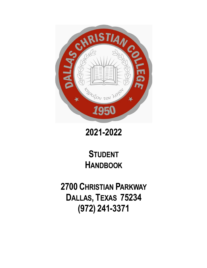

# **2021-2022**

# **STUDENT HANDBOOK**

**2700 CHRISTIAN PARKWAY DALLAS, TEXAS 75234 (972) 241-3371**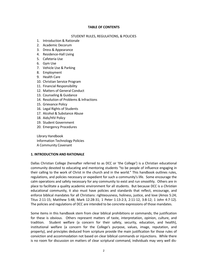#### **TABLE OF CONTENTS**

#### STUDENT RULES, REGULATIONS, & POLICIES

- 1. Introduction & Rationale
- 2. Academic Decorum
- 3. Dress & Appearance
- 4. Residence-Hall Living
- 5. Cafeteria Use
- 6. Gym Use
- 7. Vehicle Use & Parking
- 8. Employment
- 9. Health Care
- 10. Christian Service Program
- 11. Financial Responsibility
- 12. Matters of General Conduct
- 13. Counseling & Guidance
- 14. Resolution of Problems & Infractions
- 15. Grievance Policy
- 16. Legal Rights of Students
- 17. Alcohol & Substance Abuse
- 18. Aids/HIV Policy
- 19. Student Government
- 20. Emergency Procedures

Library Handbook Information Technology Policies A Community Covenant

#### **1. INTRODUCTION AND RATIONALE**

Dallas Christian College (hereafter referred to as DCC or 'the College') is a Christian educational community devoted to educating and mentoring students "to be people of influence engaging in their calling to the work of Christ in the church and in the world." This handbook outlines rules, regulations, and policies necessary or expedient for such a community's life. Some encourage the calm operations and safety necessary for any community to exist and run smoothly. Others are in place to facilitate a quality academic environment for all students. But because DCC is a *Christian* educational community, it also must have policies and standards that reflect, encourage, and enforce biblical mandates for all Christians: righteousness, holiness, justice, and love (Amos 5:24; Titus 2:11-15; Matthew 5:48; Mark 12:28-31; 1 Peter 1:13-2:3, 2:11-12, 3:8-12; 1 John 4:7-12). The policies and regulations of DCC are intended to be concrete expressions of those mandates.

Some items in this handbook stem from clear biblical prohibitions or commands; the justification for these is obvious. Others represent matters of taste, interpretation, opinion, culture, and tradition. Student welfare (a concern for their safety, security, education, and health), institutional welfare (a concern for the College's purpose, values, image, reputation, and property), and principles deduced from scripture provide the main justification for those rules of conviction and accommodation not based on clear biblical commands or injunctions. While there is no room for discussion on matters of clear scriptural command, individuals may very well dis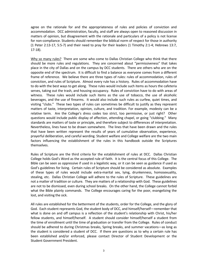agree on the rationale for and the appropriateness of rules and policies of conviction and accommodation. DCC administration, faculty, and staff are always open to reasoned discussion in matters of opinion, but disagreement with the rationale and particulars of a policy is not license for non-compliance. Students should remember the biblical norm of respect for those in authority (1 Peter 2:13-17, 5:5-7) and their need to pray for their leaders (1 Timothy 2:1-4; Hebrews 13:7, 17-18).

Why so many rules? There are some who come to Dallas Christian College who think that there should be more rules and regulations. They are concerned about "permissiveness" that takes place in the city of Dallas and on the campus by DCC students. There are others who are on the opposite end of the spectrum. It is difficult to find a balance as everyone comes from a different frame of reference. We believe there are three types of rules: rules of accommodation, rules of conviction, and rules of Scripture. Almost every rule has a history. Rules of accommodation have to do with the best ways to get along. These rules would include such items as hours the cafeteria serves, taking out the trash, and housing occupancy. Rules of conviction have to do with areas of witness. These rules would include such items as the use of tobacco, the use of alcoholic beverages, and the use of firearms. It would also include such rules as curfew, quiet times, and visiting "clubs." These two types of rules can sometimes be difficult to justify as they represent matters of taste, interpretation, opinion, culture, and tradition. For example, modesty can be a relative term. Are the College's dress codes too strict, too permissive, or just right? Other questions would include public display of affection, attending chapel, or going "clubbing." Many standards are matters of taste or principle, and therefore subject to differences of interpretation. Nevertheless, lines have to be drawn somewhere. The lines that have been drawn and the rules that have been written represent the results of years of cumulative observation, experience, prayerful deliberation, and careful wording. Student welfare and College welfare are the two main factors influencing the establishment of the rules in this handbook outside the Scriptures themselves.

Rules of Scripture are the third criteria for the establishment of rules at DCC. Dallas Christian College holds God's Word as the accepted rule of faith. It is the central focus of this College. The Bible can be seen as oppressive if used in a legalistic way, or it can be seen as guidance if used as God's guidelines for living. Certain rules of Scripture should be considered as absolute. Examples of these types of rules would include extra-marital sex, lying, drunkenness, homosexuality, stealing, etc. Dallas Christian College will adhere to the rules of Scripture. These guidelines are not a matter of tradition or culture. They are matters of a relationship with God. These guidelines are not to be dismissed, even during school breaks. On the other hand, the College cannot forbid what the Bible plainly commands. The College encourages caring for the poor, evangelizing the lost, and visiting the sick.

All rules are established for the betterment of the students, order for the College, and the glory of God. Each student represents God, the student body of DCC, and himself/herself—remember that what is done on and off campus is a reflection of the student's relationship with Christ, his/her fellow students, and himself/herself.A student should consider himself/herself a student from the time of enrollment until the time of graduation or transfer from the College. Rules of conduct should be adhered to during Christmas breaks, Spring breaks, and summer vacations—as long as the student is considered a student of DCC. If there are questions as to why a certain rule has been established and/or enforced, please contact Director of Student Development or the Student Government President.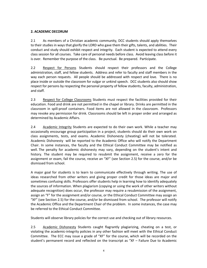# **2. ACADEMIC DECORUM**

2.1 As members of a Christian academic community, DCC students should apply themselves to their studies in ways that glorify the LORD who gave them their gifts, talents, and abilities. Their conduct and study should exhibit respect and integrity. Each student is expected to attend every class session for all courses.Take care of personal needs before class. Avoid leaving class before it is over. Remember the purpose of the class. Be punctual. Be prepared. Participate.

2.2 Respect for Persons Students should respect their professors and the College administration, staff, and fellow students. Address and refer to faculty and staff members in the way each person requests. All people should be addressed with respect and love. There is no place inside or outside the classroom for vulgar or unkind speech. DCC students also should show respect for persons by respecting the personal property of fellow students, faculty, administration, and staff.

2.3 Respect for College Classrooms Students must respect the facilities provided for their education. Food and drink are not permitted in the chapel or library. Drinks are permitted in the classroom in spill-proof containers. Food items are not allowed in the classroom. Professors may revoke any permission for drink. Classrooms should be left in proper order and arranged as determined by Academic Affairs.

2.4 Academic Integrity Students are expected to do their own work. While a teacher may occasionally encourage group participation in a project, students should do their own work on class assignments, tests, and exams. Academic Dishonesty (cheating) will not be tolerated. Academic Dishonesty will be reported to the Academic Office who will notify the Department Chair. In some instances, the faculty and the Ethical Conduct Committee may be notified as well. The penalty for academic dishonesty may vary, depending on the student's intent and history. The student may be required to resubmit the assignment, receive a zero for the assignment or exam, fail the course, receive an "XF" (see Section 2.5) for the course, and/or be dismissed from school.

A major goal for students is to learn to communicate effectively through writing. The use of ideas researched from other writers and giving proper credit for those ideas are major and sometimes confusing skills. Professors offer students help in learning how to identify adequately the sources of information. When plagiarism (copying or using the work of other writers without adequate recognition) does occur, the professor may require a resubmission of the assignment, assign an "F" for the assignment and/or course, or the Ethical Conduct Committee may assign an "XF" (see Section 2.5) for the course, and/or be dismissed from school. The professor will notify the Academic Office and the Department Chair of the problem. In some instances, the case may be referred to the Ethical Conduct Committee.

Students will observe library policies for the correct use and checking out of library resources.

2.5 Academic Dishonesty Students caught flagrantly plagiarizing, cheating on a test, or violating the academic-integrity policies in any other fashion will meet with the Ethical Conduct Committee. The ECC may issue a grade of "XF" for the course, which will be recorded on the student's permanent record and reflected on the transcript as "XF – Failure Due to Academic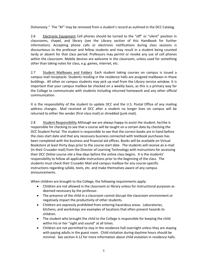Dishonesty." The "XF" may be removed from a student's record as outlined in the DCC Catalog.

2.6 Electronic Equipment Cell phones should be turned to the "off" or "silent" position in classrooms, chapel, and library (see the Library section of this Handbook for further information). Accepting phone calls or electronic notifications during class sessions is discourteous to the professor and fellow students and may result in a student being counted tardy or absent for that class period. Professors may permit or revoke any use of cell phones within the classroom. Mobile devices are welcome in the classroom, unless used for something other than taking notes for class, e.g. games, internet, etc.

2.7 Student Mailboxes and Folders Each student taking courses on campus is issued a campus mail receptacle. Students residing in the residence halls are assigned mailboxes in those buildings. All other on campus students may pick up mail from the Library service window. It is important that your campus mailbox be checked on a weekly basis, as this is a primary way for the College to communicate with students including returned homework and any other official communication.

It is the responsibility of the student to update DCC and the U.S. Postal Office of any mailing address changes. Mail received at DCC after a student no longer lives on campus will be returned to either the sender (first-class mail) or shredded (junk mail).

2.8 Student Responsibility Although we are always happy to assist the student, he/she is responsible for checking to see that a course will be taught on a certain date by checking the DCC Student Portal. The student is responsible to see that the correct books are in hand before the class start date and that any necessary business connected with textbook purchases has been completed with the business and financial aid offices. Books will be available on Virtual Bookstore at least thirty days prior to the course start date. The students will receive an e-mail (in their Crusader mail) from the Director of Learning Technology with instructions for accessing their *DCC Online* course site a few days before the online class begins. It is the students' responsibility to follow all applicable instructions prior to the beginning of the class. The students must check their Crusader Mail and campus mailbox for any course-specific instructions regarding syllabi, texts, etc. and make themselves aware of any campus announcements.

When children are brought to the College, the following requirements apply:

- Children are not allowed in the classroom or library unless for instructional purposes as deemed necessary by the professor.
- The presence of the child in a classroom cannot disrupt the classroom environment or negatively impact the productivity of other students.
- Children are expressly prohibited from entering hazardous areas. Laboratories, kitchens, and workshops are examples of locations that often present hazards to children.
- The student who brought the child to the College is responsible for keeping the child within his or her "sight and sound" at all times.
- Children are not permitted to stay in the residence hall overnight unless they are staying with paying adults in the guest room. Child visitation during daytime hours should be minimal. See section 4.12 for more information about child visitation in residence halls.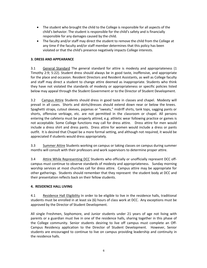- The student who brought the child to the College is responsible for all aspects of the child's behavior. The student is responsible for the child's safety and is financially responsible for any damages caused by the child.
- The faculty and/or staff may direct the student to remove the child from the College at any time if the faculty and/or staff member determines that this policy has been violated or that the child's presence negatively impacts College interests.

# **3. DRESS AND APPEARANCE**

3.1 General Standard The general standard for attire is modesty and appropriateness (1 Timothy 2:9; 5:22). Student dress should always be in good taste, inoffensive, and appropriate for the place and occasion. Resident Directors and Resident Assistants, as well as College faculty and staff may direct a student to change attire deemed as inappropriate. Students who think they have not violated the standards of modesty or appropriateness or specific policies listed below may appeal through the Student Government or to the Director of Student Development.

3.2 Campus Attire Students should dress in good taste in classes and chapel. Modesty will prevail in all cases. Shorts and skirts/dresses should extend down near or below the knees. Spaghetti straps, cutout sleeves, pajamas or "sweats," midriff shirts, tank tops, sagging pants or shorts, offensive verbiage, etc. are not permitted in the classroom or chapel. All persons entering the cafeteria must be properly attired, e.g. athletic wear following practice or games is not acceptable. Some College functions may call for dress attire. Dress attire for men would include a dress shirt and dress pants. Dress attire for women would include a dress or pants outfit. It is desired that Chapel be a more formal setting, and although not required, it would be appreciated if students would dress appropriately.

3.3 Summer Attire Students working on campus or taking classes on campus during summer months will consult with their professors and work supervisors to determine proper attire.

3.4 Attire While Representing DCC Students who officially or unofficially represent DCC offcampus must continue to observe standards of modesty and appropriateness. Sunday morning worship services at most churches call for dress attire. Campus attire may be appropriate for other gatherings. Students should remember that they represent the student body at DCC and their presentation reflects back on their fellow students.

# **4. RESIDENCE HALL LIVING**

4.1 Residence Hall Eligibility In order to be eligible to live in the residence halls, traditional students must be enrolled in at least six (6) hours of class work at DCC. Any exceptions must be approved by the Director of Student Development.

All single Freshmen, Sophomore, and Junior students under 21 years of age not living with parents or a guardian must live in one of the residence halls, sharing together in this phase of the College community. Senior students desiring to live off campus must complete an Off-Campus Residency application to the Director of Student Development. However, Senior students are encouraged to continue to live on campus providing leadership and continuity in the residence halls.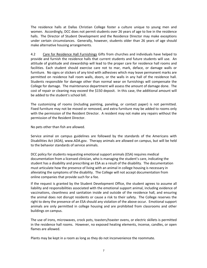The residence halls at Dallas Christian College foster a culture unique to young men and women. Accordingly, DCC does not permit students over 26 years of age to live in the residence halls. The Director of Student Development and the Residence Director may make exceptions under certain circumstances. Generally, however, students older than 26 years of age should make alternative housing arrangements.

4.2 Care for Residence Hall Furnishings Gifts from churches and individuals have helped to provide and furnish the residence halls that current students and future students will use. An attitude of gratitude and stewardship will lead to the proper care for residence hall rooms and facilities. Each student should exercise care not to mar, mark, deface, or damage walls or furniture. No signs or stickers of any kind with adhesives which may leave permanent marks are permitted on residence hall room walls, doors, or the walls in any hall of the residence hall. Students responsible for damage other than normal wear on furnishings will compensate the College for damage. The maintenance department will assess the amount of damage done. The cost of repair or cleaning may exceed the \$150 deposit. In this case, the additional amount will be added to the student's school bill.

The customizing of rooms (including painting, paneling, or contact paper) is not permitted. Fixed furniture may not be moved or removed, and extra furniture may be added to rooms only with the permission of the Resident Director. A resident may not make any repairs without the permission of the Resident Director.

No pets other than fish are allowed.

Service animal on campus guidelines are followed by the standards of the Americans with Disabilities Act (ADA), www.ADA.gov. Therapy animals are allowed on campus, but will be held to the behavior standards of service animals.

DCC policy for students requesting emotional support animals (ESA) requires medical documentation from a licensed clinician, who is managing the student's care, indicating the student has a disability and prescribing an ESA as a result of the disability. The documentation must articulate how the presence of living with an animal in college housing is necessary in alleviating the symptoms of the disability. The College will not accept documentation from online companies that provide such for a fee.

If the request is granted by the Student Development Office, the student agrees to assume all liability and responsibilities associated with the emotional support animal, including evidence of vaccinations, cleanliness and sanitation inside and outside of the residence hall, and ensuring the animal does not disrupt residents or cause a risk to their safety. The College reserves the right to deny the presence of an ESA should any violation of the above occur. Emotional support animals are only permitted in college housing and are prohibited from classrooms and other buildings on campus.

The use of irons, microwaves, crock pots, toasters/toaster ovens, or electric skillets is permitted in the residence hall rooms. However, no exposed heating elements, incense, candles, or open flames are allowed.

Plants may be kept in a room as long as they do not inconvenience the roommate.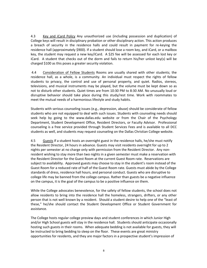4.3 Key and iCard Policy Any unauthorized use (including possession and duplication) of College keys will result in disciplinary probation or other disciplinary action. This action produces a breach of security in the residence halls and could result in payment for re-keying the residence hall (approximately \$900). If a student should lose a room key, and iCard, or a mailbox key, the student may request a new key/iCard. A \$25 fee will be assessed for each lost key or iCard. A student that checks out of the dorm and fails to return his/her unlost key(s) will be charged \$100 as this poses a greater security violation.

4.4 Consideration of Fellow Students Rooms are usually shared with other students; the residence hall, as a whole, is a community. An individual must respect the rights of fellow students to privacy, the control and use of personal property, and quiet. Radios, stereos, televisions, and musical instruments may be played, but the volume must be kept down so as not to disturb other students. Quiet times are from 10:30 PM to 8:30 AM. No unusually loud or disruptive behavior should take place during this study/rest time. Work with roommates to meet the mutual needs of a harmonious lifestyle and study habits.

Students with serious counseling issues (e.g., depression, abuse) should be considerate of fellow students who are not equipped to deal with such issues. Students with counseling needs should seek help by going to the www.dallas.edu website or from the Chair of the Psychology Department, Student Development Office, Resident Directors, or Faculty Advisor. Professional counseling is a free service provided through Student Services Fees and is available to all DCC students as well, and students may request counseling on the Dallas Christian College website.

4.5 Guests If a student hosts an overnight guest in the residence halls, he/she must notify the Resident Director, 24 hours in advance. Guests may visit residents overnight for up to 2 nights per semester at no charge only with permission from the Resident Director. Any nonresident wishing to stay more than two nights in a given semester must make a reservation with the Resident Director for the Guest Room at the current Guest Room rate. Reservations are subject to availability. Approved guests may choose to stay in the student's room instead of the Guest Room for a reduced rate of half of the Guest Room rate. Guests must abide by the College standards of dress, residence hall hours, and personal conduct. Guests who are disruptive to college life may be banned from the college campus. Rather than guests be a negative influence on the campus, it is the goal of the campus to be a positive influence on them.

While the College advocates benevolence, for the safety of fellow students, the school does not allow residents to bring into the residence hall the homeless, strangers, drifters, or any other person that is not well known by a resident. Should a student desire to help one of the "least of these," he/she should contact the Student Development Office or Student Government for assistance.

The College hosts regular college preview days and student conferences in which Junior High and/or High School guests will stay in the residence hall. Students should anticipate occasionally hosting such guests in their rooms. When adequate bedding is not available for guests, they will be instructed to bring bedding to sleep on the floor. These events are great ministry opportunities for residents, and they are major factors in a prospective student's impression of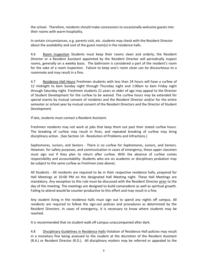the school. Therefore, residents should make concessions to occasionally welcome guests into their rooms with warm hospitality.

In certain circumstances, e.g. parents visit, etc. students may check with the Resident Director about the availability and cost of the guest room(s) in the residence halls.

4.6 Room Inspection Students must keep their rooms clean and orderly; the Resident Director or a Resident Assistant appointed by the Resident Director will periodically inspect rooms, generally on a weekly basis. The bathroom is considered a part of the resident's room for the sake of a room inspection. Failure to keep one's room clean can be discourteous to a roommate and may result in a fine.

4.7 Residence Hall Hours Freshmen students with less than 24 hours will have a curfew of 12 midnight to 6am Sunday night through Thursday night and 1:00am to 6am Friday night through Saturday night. Freshmen students 21 years or older of age may appeal to the Director of Student Development for the curfew to be waived. The curfew hours may be extended for special events by mutual consent of residents and the Resident Director and/or for the entire semester or school year by mutual consent of the Resident Directors and the Director of Student Development.

If late, students must contact a Resident Assistant.

Freshmen residents may not work at jobs that keep them out past their stated curfew hours. The breaking of curfew may result in fines, and repeated breaking of curfew may bring disciplinary action. (See Section 14 - Resolution of Problems and Infractions.)

Sophomores, Juniors, and Seniors - There is no curfew for Sophomores, Juniors, and Seniors. However, for safety purposes, and communication in cases of emergency, these upper classmen must sign out if they plan to return after curfew. With the absence of curfew comes responsibility and accountability. Students who are on academic or disciplinary probation may be subject to the same curfew as Freshmen (see above).

All Students - All residents are required to be in their respective residence halls, prepared for Hall Meetings at 10:00 PM on the designated Hall Meeting night. These Hall Meetings are mandatory. Any exception to this rule must be discussed with the Resident Director prior to the day of the meeting. The meetings are designed to build camaraderie as well as spiritual growth. Failing to attend would be counter-productive to this effort and may result in a fine.

Any student living in the residence halls must sign out to spend any nights off campus. All residents are required to follow the sign-out policies and procedures as determined by the Resident Directors. In cases of emergency, it is necessary to know where students may be reached.

It is recommended that no student walk off campus unaccompanied after dark.

4.8 Disciplinary Guidelines in Residence Halls Violation of Residence Hall policies may result in a monetary fine being assessed to the student at the discretion of the Resident Assistant (R.A.) or Resident Director (R.D.). All disciplinary matters may be referred or appealed to the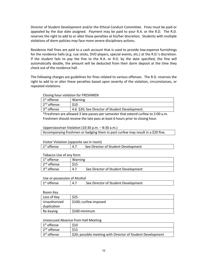Director of Student Development and/or the Ethical Conduct Committee. Fines must be paid or appealed by the due date assigned. Payment may be paid to your R.A. or the R.D. The R.D. reserves the right to add to or alter these penalties at his/her discretion. Students with multiple violations of dorm policies may face more severe disciplinary actions.

Residence Hall fines are paid to a cash account that is used to provide low-expense furnishings for the residence halls (e.g. cue sticks, DVD players, special events, etc.) at the R.D.'s discretion. If the student fails to pay the fine to the R.A. or R.D. by the date specified, the fine will automatically double, the amount will be deducted from their dorm deposit at the time they check out of the residence hall.

The following charges are guidelines for fines related to various offenses. The R.D. reserves the right to add to or alter these penalties based upon severity of the violation, circumstances, or repeated violations.

Closing hour violation for FRESHMEN

| $1st$ offense           | Warning                                        |
|-------------------------|------------------------------------------------|
| 2 <sup>nd</sup> offense | \$10                                           |
| 3rd offense             | 4.6 \$20; See Director of Student Development. |

\*Freshmen are allowed 3 late passes per semester that extend curfew to 2:00 a.m. Freshmen should receive the late pass at least 6 hours prior to closing hour.

Upperclassman Violation (10:30 p.m. – 8:30 a.m.)

Accompanying freshmen or badging them in past curfew may result in a \$20 fine.

Visitor Violation (opposite sex in room)

| $1st$ offense | -4.7 | See Director of Student Development |
|---------------|------|-------------------------------------|

Tobacco Use of any form

| 1 <sup>st</sup> offense | Warning                                    |
|-------------------------|--------------------------------------------|
| $2nd$ offense           | \$15                                       |
| 3rd offense             | See Director of Student Development<br>4.7 |

#### Use or possession of Alcohol

| 1 <sup>st</sup> offense<br>See Director of Student Development |  |  |
|----------------------------------------------------------------|--|--|
|                                                                |  |  |

#### Room Key

| Loss of Key  | \$25                  |
|--------------|-----------------------|
| Unauthorized | \$100; curfew imposed |
| duplication  |                       |
| Re-keying    | \$100 minimum         |

#### Unexcused Absence from Hall Meeting

| 1 <sup>st</sup> offense | \$10                                                        |
|-------------------------|-------------------------------------------------------------|
| 2 <sup>nd</sup> offense | \$15                                                        |
| 3 <sup>rd</sup> offense | \$20; possible meeting with Director of Student Development |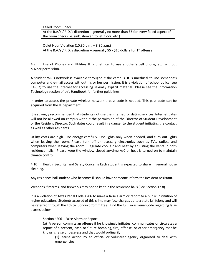Failed Room Check

At the R.A.'s / R.D.'s discretion – generally no more than \$5 for every failed aspect of the room check (i.e. sink, shower, toilet, floor, etc.)

Quiet Hour Violation (10:30 p.m. – 8:30 a.m.) At the R.A.'s / R.D.'s discretion – generally  $$5 - $10$  dollars for 1<sup>st</sup> offense

4.9 Use of Phones and Utilities It is unethical to use another's cell phone, etc. without his/her permission.

A student Wi-Fi network is available throughout the campus. It is unethical to use someone's computer and e-mail access without his or her permission. It is a violation of school policy (see 14.6.7) to use the Internet for accessing sexually explicit material. Please see the Information Technology section of this Handbook for further guidelines.

In order to access the private wireless network a pass code is needed. This pass code can be acquired from the IT department.

It is strongly recommended that students not use the Internet for dating services. Internet dates will not be allowed on campus without the permission of the Director of Student Development or the Resident Director. Such dates could result in a danger to the student initiating the contact as well as other residents.

Utility costs are high. Use energy carefully. Use lights only when needed, and turn out lights when leaving the room. Please turn off unnecessary electronics such as TVs, radios, and computers when leaving the room. Regulate cool air and heat by adjusting the vents in both residence halls. Please keep the window closed anytime A/C or heat is turned on to maintain climate control.

4.10 Health, Security, and Safety Concerns Each student is expected to share in general house cleaning.

Any residence hall student who becomes ill should have someone inform the Resident Assistant.

Weapons, firearms, and fireworks may not be kept in the residence halls (See Section 12.8).

It is a violation of Texas Penal Code 4206 to make a false alarm or report to a public institution of higher education. Students accused of this crime may face charges up to a state jail felony and will be referred through the Ethical Conduct Committee. Find the full Texas Penal Code regarding false alarms below:

#### Section 4206 – False Alarm or Report

(a) A person commits an offense if he knowingly initiates, communicates or circulates a report of a present, past, or future bombing, fire, offense, or other emergency that he knows is false or baseless and that would ordinarily:

(1) cause action by an official or volunteer agency organized to deal with emergencies;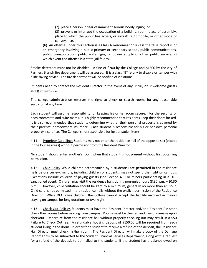(2) place a person in fear of imminent serious bodily injury; or

(3) prevent or interrupt the occupation of a building, room, place of assembly, place to which the public has access, or aircraft, automobile, or other mode of conveyance.

(b) An offense under this section is a Class A misdemeanor unless the false report is of an emergency involving a public primary or secondary school, public communications, public transportation, public water, gas, or power supply or other public service, in which event the offense is a state jail felony.

Smoke detectors must not be disabled. A fine of \$200 by the College and \$1500 by the city of Farmers Branch fire department will be assessed. It is a class "B" felony to disable or tamper with a life saving device. The fire department will be notified of violations.

Students need to contact the Resident Director in the event of any unruly or unwelcome guests being on campus.

The college administration reserves the right to check or search rooms for any reasonable suspicion at any time.

Each student will assume responsibility for keeping his or her room secure. For the security of each roommate and suite mates, it is highly recommended that residents keep their doors locked. It is also recommended that students determine whether their personal property is covered by their parents' homeowners insurance. Each student is responsible for his or her own personal property insurance. The College is not responsible for lost or stolen items.

4.11 Propriety Guidelines Students may not enter the residence hall of the opposite sex (except in the lounge areas) without permission from the Resident Director.

No student should enter another's room when that student is not present without first obtaining permission.

4.12 Child Policy While children accompanied by a student(s) are permitted in the residence halls before curfew, minors, including children of students, may not spend the night on campus. Exceptions include children of paying guests (see Section 4.5) or minors participating in a DCC sanctioned event. Children may visit the residence halls during non-quiet hours (8:30 a.m. – 10:30 p.m.). However, child visitation should be kept to a minimum, generally no more than an hour. Child care is not permitted in the residence halls without the explicit permission of the Residence Director. While DCC loves children, the College cannot accept the liability involved in minors staying on campus for long durations or overnight.

4.13 Check-Out Policies Students must have the Resident Director and/or a Resident Assistant check their rooms before moving from campus. Rooms must be cleaned and free of damage upon checkout. Departure from the residence hall without properly checking out may result in a \$50 Failure to Check Out fee. A refundable housing deposit of \$150.00 will be required from each student living in the dorm. In order for a student to receive a refund of the deposit, the Residence Hall Director must check his/her room. The Resident Director will make a copy of the Damage Report Form to be submitted to the Student Financial Services Department, along with a request for a refund of the deposit to be mailed to the student. If the student has a balance owed on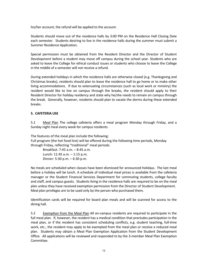his/her account, the refund will be applied to the account.

Students should move out of the residence halls by 3:00 PM on the Residence Hall Closing Date each semester. Students desiring to live in the residence halls during the summer must submit a Summer Residence Application.

Special permission must be obtained from the Resident Director and the Director of Student Development before a student may move off campus during the school year. Students who are asked to leave the College for ethical conduct issues or students who choose to leave the College in the middle of a semester will not receive a refund.

During extended holidays in which the residence halls are otherwise closed (e.g. Thanksgiving and Christmas breaks), residents should plan to leave the residence hall to go home or to make other living accommodations. If due to extenuating circumstances (such as local work or ministry) the resident would like to live on campus through the breaks, the resident should apply to their Resident Director for holiday residency and state why he/she needs to remain on campus through the break. Generally, however, residents should plan to vacate the dorms during these extended breaks.

#### **5. CAFETERIA USE**

5.1 Meal Plan The college cafeteria offers a meal program Monday through Friday, and a Sunday night meal every week for campus residents.

The features of the meal plan include the following: Full program (the hot food line) will be offered during the following time periods, Monday through Friday, reflecting "traditional" meal periods:

Breakfast: 7:45 a.m. – 8:45 a.m. Lunch: 11:45 a.m. – 1:15 p.m. Dinner: 5:30 p.m. – 6:30 p.m.

No meals are scheduled when classes have been dismissed for announced holidays. The last meal before a holiday will be lunch. A schedule of individual meal prices is available from the cafeteria manager or the Student Financial Services Department for commuting students, college faculty and staff, and campus guests. Students living in the residence halls are required to be on the meal plan unless they have received exemption permission from the Director of Student Development. Meal plan privileges are to be used only by the person who purchased them.

Identification cards will be required for board plan meals and will be scanned for access to the dining hall.

5.2 Exemption from the Meal Plan All on-campus residents are required to participate in the full meal plan. If, however, the resident has a medical condition that precludes participation in the meal plan, or if the resident has consistent scheduling conflicts, e.g. student teaching, full-time work, etc., the resident may apply to be exempted from the meal plan or receive a reduced meal plan. Students may obtain a Meal Plan Exemption Application from the Student Development Office. All applications will be reviewed and responded to by the 3-member Meal Plan Exemption Committee.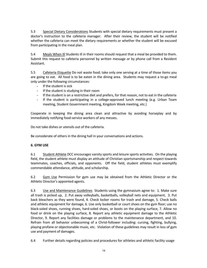5.3 Special Dietary Considerations Students with special dietary requirements must present a doctor's instruction to the cafeteria manager. After their review, the student will be notified whether the cafeteria can meet the dietary requirements or whether the student will be excused from participating in the meal plan.

5.4 Meals When Ill Students ill in their rooms should request that a meal be provided to them. Submit this request to cafeteria personnel by written message or by phone call from a Resident Assistant.

5.5 Cafeteria Etiquette Do not waste food; take only one serving at a time of those items you are going to eat. All food is to be eaten in the dining area. Students may request a to-go meal only under the following circumstances:

- If the student is sick
- If the student is studying in their room
- If the student is on a restrictive diet and prefers, for that reason, not to eat in the cafeteria
- If the student is participating in a college-approved lunch meeting (e.g. Urban Team meeting, Student Government meeting, Kingdom Week meeting, etc.)

Cooperate in keeping the dining area clean and attractive by avoiding horseplay and by immediately notifying food-service workers of any messes.

Do not take dishes or utensils out of the cafeteria.

Be considerate of others in the dining hall in your conversations and actions.

# **6. GYM USE**

6.1 Student Athlete DCC encourages varsity sports and leisure sports activities. On the playing field, the student athlete must display an attitude of Christian sportsmanship and respect towards teammates, coaches, officials, and opponents. Off the field, student athletes must exemplify commendable attendance, attitude, and scholarship.

6.2 Gym Use Permission for gym use may be obtained from the Athletic Director or the Athletic Director's appointed agents.

6.3 Use and Maintenance Guidelines Students using the gymnasium agree to: 1. Make sure all trash is picked up, 2. Put away volleyballs, basketballs, volleyball nets and equipment, 3. Put back bleachers as they were found, 4. Check locker rooms for trash and damage, 5. Check balls and athletic equipment for damage, 6. Use only basketball or court shoes on the gym floor; use no black-soled shoes, running shoes, hard-soled shoes, or boots on the playing surface, 7. Allow no food or drink on the playing surface, 8. Report any athletic equipment damage to the Athletic Director, 9. Report any facilities damage or problems to the maintenance department, and 10. Refrain from all behavior unbecoming of a Christ-follower including: cursing, fighting, bullying, playing profane or objectionable music, etc. Violation of these guidelines may result in loss of gym use and payment of damages.

6.4 Further details regarding policies and procedures for athletes and athletic facility usage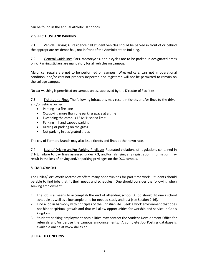can be found in the annual Athletic Handbook.

# **7. VEHICLE USE AND PARKING**

7.1 Vehicle Parking All residence hall student vehicles should be parked in front of or behind the appropriate residence hall, not in front of the Administration Building.

7.2 General Guidelines Cars, motorcycles, and bicycles are to be parked in designated areas only. Parking stickers are mandatory for all vehicles on campus.

Major car repairs are not to be performed on campus. Wrecked cars, cars not in operational condition, and/or cars not properly inspected and registered will not be permitted to remain on the college campus.

No car washing is permitted on campus unless approved by the Director of Facilities.

7.3 Tickets and Fines The following infractions may result in tickets and/or fines to the driver and/or vehicle owner:

- Parking in a fire lane
- Occupying more than one parking space at a time
- Exceeding the campus 15 MPH speed limit
- Parking in handicapped parking
- Driving or parking on the grass
- Not parking in designated areas

The city of Farmers Branch may also issue tickets and fines at their own rate.

7.4 Loss of Driving and/or Parking Privileges Repeated violations of regulations contained in 7.1-3, failure to pay fines assessed under 7.3, and/or falsifying any registration information may result in the loss of driving and/or parking privileges on the DCC campus.

#### **8. EMPLOYMENT**

The Dallas/Fort Worth Metroplex offers many opportunities for part-time work. Students should be able to find jobs that fit their needs and schedules. One should consider the following when seeking employment:

- 1. The job is a means to accomplish the end of attending school. A job should fit one's school schedule as well as allow ample time for needed study and rest (see Section 2.16).
- 2. Find a job in harmony with principles of the Christian life. Seek a work environment that does not hinder spiritual growth and that will allow opportunities for worship and service in God's kingdom.
- 3. Students seeking employment possibilities may contact the Student Development Office for referrals and/or peruse the campus announcements. A complete Job Posting database is available online at www.dallas.edu.

#### **9. HEALTH CONCERNS**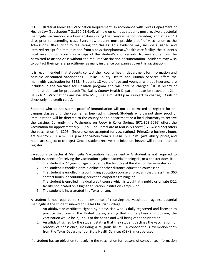9.1 Bacterial Meningitis Vaccination Requirement In accordance with Texas Department of Health Law (Subchapter T 21.610-21.614), all new on-campus students must receive a bacterial meningitis vaccination or a booster dose during the five-year period preceding, and at least 10 days prior to, attending class. Every new student must provide proof of vaccination to the Admissions Office prior to registering for classes. This evidence may include a signed and itemized receipt for immunization from a physician/pharmacy/health care facility, the student's most recent shot records, or a copy of the student's shot records. No new student will be permitted to attend class without the required vaccination documentation. Students may wish to contact their general practitioner as many insurance companies cover this vaccination.

It is recommended that students contact their county health department for information and possible discounted vaccinations. Dallas County Health and Human Services offers the meningitis vaccination for \$155. (Students 18 years of age and younger without insurance are included in the Vaccines for Children program and will only be charged \$10 if record of immunization can be produced) The Dallas County Health Department can be reached at 214- 819-2162. Vaccinations are available M-F, 8:00 a.m.–4:00 p.m. (subject to change). Cash or check only (no credit cards).

Students who do not submit proof of immunization will not be permitted to register for oncampus classes until the vaccine has been administered. Students who cannot show proof of immunization will be directed to the county health department or a local pharmacy to receive the vaccine. Currently, the Walgreens on Josey & Keller Springs (972-323-5096) offers the vaccination for approximately \$133.99. The PrimaCare at Marsh & Forest (972-488-9222) offers the vaccination for \$205. (Insurance not accepted for vaccination.) PrimaCare business hours are M-F from 8:00 a.m.–8:00 p.m. and Sa/Sun from 8:00 a.m.–5:00 p.m. (Availability, prices, and hours are subject to change.) Once a student receives the injection, he/she will be permitted to register.

Exceptions to Bacterial Meningitis Vaccination Requirement – A student is not required to submit evidence of receiving the vaccination against bacterial meningitis, or a booster does, if:

- 1. The student is 22 years of age or older by the first day of the start of the semester; or
- 2. The student is enrolled only in online or other distance education courses; or
- 3. The student is enrolled in a continuing education course or program that is less than 360 contact hours, or continuing education corporate training; or
- 4. The student is enrolled in a dual credit course which is taught at a public or private K-12 facility not located on a higher education institution campus; or
- 5. The student is incarcerated in a Texas prison.

A student is not required to submit evidence of receiving the vaccination against bacterial meningitis if the student submits to Dallas Christian College:

- 1. An affidavit or certificate signed by a physician who is dully registered and licensed to practice medicine in the United States, stating that in the physicians' opinion, the vaccination would be injurious to the health and well-being of the student; or
- 2. An affidavit signed by the student stating that they student declines the vaccination for reasons of conscience, including a religious belief. A conscientious exemption form from the Texas Department of State Health Services (DSHS) must be used.

If a student has an objection to receiving the vaccination for reasons of conscience, information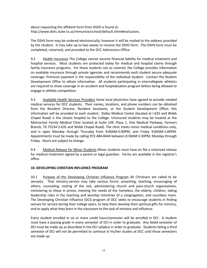about requesting the affidavit form from DSHS is found at: http://www.dshs.state.tx.us/immunize/school/default.shtm#exclusions.

The DSHS form may be ordered electronically; however it will be mailed to the address provided by the student. It may take up to two weeks to receive the DSHS form. The DSHS form must be completed, notarized, and provided to the DCC Admissions Office.

9.2 Health Insurance The College cannot assume financial liability for medical treatment and hospital services. Most students are protected today for medical and hospital claims through family insurance programs. For those students not so covered, the College provides information on available insurance through private agencies and recommends each student secure adequate coverage. Premium payment is the responsibility of the individual student. Contact the Student Development Office to obtain information. All students participating in intercollegiate athletics are required to show coverage in an accident and hospitalization program before being allowed to engage in athletic competition.

9.3 Available Health Services Providers Some local physicians have agreed to provide needed medical services for DCC students. Their names, locations, and phone numbers can be obtained from the Resident Director, Resident Assistants, or the Student Development Office; this information will be provided to each student. Dallas Medical Center (located at I-635 and Webb Chapel Road) is the closest hospital to the College. Uninsured students may be treated at the Metrocrest Family Medical Clinic located at Suite 149, Plaza 1, One Medical Parkway, Farmers Branch, TX 75234 (I-635 and Webb Chapel Road). The clinic treats minor medical conditions only, and is open Monday through Thursday from 9:00AM-5:00PM, and Friday 9:00AM-1:00PM. Appointments must be made by calling 972-484-8444 between 8:30AM-5:30PM, Monday through Friday. Hours are subject to change.

9.4 Medical Release for Minor Students Minor students must have on file a notarized release for medical treatment signed by a parent or legal guardian. Forms are available in the registrar's office.

# **10. DEVELOPING CHRISTIAN INFLUENCE PROGRAM**

10.1 Purpose of the Developing Christian Influence Program All Christians are called to be servants. That ministry-service may take various forms: preaching, teaching, encouraging of others, counseling, visiting of the sick, administering church and para-church organizations, ministering to those in prison, meeting the needs of the homeless, the elderly, children, taking leadership roles in the teaching and worship ministries of a congregation, and countless more. The Developing Christian Influence (DCI) program of DCC seeks to encourage students in finding venues for service during their college years, to help them develop their spiritual gifts for ministry, and to apply what they learn in the classroom to the task of ministry and influence.

Every student enrolled in six or more credit hours/semester will be enrolled in DCI. A student must have a passing grade in every semester of DCI in order to graduate. Any failed semester of DCI must be made up as described in the DCI syllabus in order to graduate. Students failing a third semester of DCI will not be permitted to continue in his/her studies at DCC until those semesters are made up.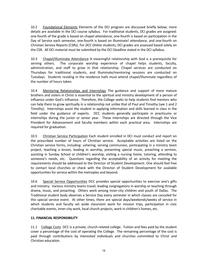10.2 Foundational Elements Elements of the DCI program are discussed briefly below; more details are available in the DCI course syllabus. For traditional students, DCI grades are assigned: one-fourth of the grade is based on chapel attendance, one-fourth is based on participation in the Day of Service each semester, one-fourth is based on Illuminate! attendance, and one-fourth on Christian Service Reports (CSRs). For *DCC Online* students, DCI grades are assessed based solely on the CSR. All DCI material must be submitted by the DCI Deadline stated in the DCI syllabus.

10.3 Chapel/Illuminate Attendance A meaningful relationship with God is a prerequisite for serving others. The corporate worship experience of chapel helps students, faculty, administration, and staff to grow in that relationship. Chapel services are conducted on Thursdays for traditional students, and Illuminate/mentoring sessions are conducted on Tuesdays. Students residing in the residence halls must attend chapel/Illuminate regardless of the number of hours taken.

10.4 Mentoring Relationships and Internships The guidance and support of more mature brothers and sisters in Christ is essential to the spiritual and ministry development of a person of influence under God's influence. Therefore, the College seeks to help students find mentors who can help them to grow spiritually in a relationship not unlike that of Paul and Timothy (see 1 and 2 Timothy). Internships assist the student in applying information and skills learned in class in the field under the guidance of experts. DCC students generally participate in practicums or internships during the junior or senior year. These internships are directed through the Vice President for Advancement and faculty members within each practical area. Internships are required for graduation.

10.5 Christian Service Participation Each student enrolled in DCI must conduct and report on the prescribed number of hours of Christian service. Acceptable activities are listed on the Christian service forms, including: ushering, serving communion, participating in a ministry team project, teaching a lesson, leading in worship, presenting special music, preaching a sermon, assisting in Sunday School or children's worship, visiting a nursing home, tutoring, attending to someone's needs, etc. Questions regarding the acceptability of an activity for meeting the requirements should be addressed to the Director of Student Development. One should feel free to contact local churches or check with the Director of Student Development for available opportunities for service within the metroplex and beyond.

10.6 Special Service Opportunities DCC provides special opportunities to exercise one's gifts and ministry. Various ministry teams travel, leading congregations in worship or teaching through drama, music, and preaching. Others work among inner-city children and youth of Dallas. The Traditional student body observes a Service Day every semester in which classes are canceled for this special service event. At other times, there are special days/weekends/weeks of service in which students and faculty set aside classroom work for mission trips, participation in civic charitable events, inner-city work, local church projects, work in children's homes, etc.

#### **11. FINANCIAL RESPONSIBILITY**

11.1 College Costs DCC is a private, church-related college. Tuition and fees paid by the student cover a percentage of the cost of operating the College. The remaining percentage of the cost is paid through contributions by interested individuals and churches committed to Christ and Christian education.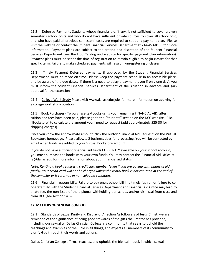11.2 Deferred Payments Students whose financial aid, if any, is not sufficient to cover a given semester's school costs and who do not have sufficient private sources to cover all school cost, and who have paid all previous semesters' costs are required to set up a payment plan. Please visit the website or contact the Student Financial Services Department at 214-453-8135 for more information. Payment plans are subject to the criteria and discretion of the Student Financial Services Department (see the DCC Catalog and website for specific payment plan information). Payment plans must be set at the time of registration to remain eligible to begin classes for that specific term. Failure to make scheduled payments will result in unregistering of classes.

11.3 Timely Payment Deferred payments, if approved by the Student Financial Services Department, must be made on time. Please keep the payment schedule in an accessible place, and be aware of the due dates. If there is a need to delay a payment (even if only one day), you must inform the Student Financial Services Department of the situation in advance and gain approval for the extension

11.4 College Work Study Please visit www.dallas.edu/jobs for more information on applying for a college work study position.

11.5 Book Purchases - To purchase textbooks using your remaining FINANCIAL AID, after tuition and fees have been paid, please go to the "Students" section on the DCC website. Click "Bookstore" to calculate the amount you'll need to request (add approximately \$25-30 for shipping charges).

Once you know the approximate amount, click the button "Financial Aid Request" on the Virtual Bookstore homepage. Please allow 1-2 business days for processing. You will be contacted by email when funds are added to your Virtual Bookstore account.

If you do not have sufficient financial aid funds CURRENTLY available on your school account, you must purchase the books with your own funds. You may contact the Financial Aid Office at fa@dallas.edu for more information about your financial aid status.

*Note: Renting a book requires a credit card number (even if you are paying with financial aid funds). Your credit card will not be charged unless the rental book is not returned at the end of the semester or is returned in non-saleable condition.*

11.6 Financial Irresponsibility Failure to pay one's school bill in a timely fashion or failure to cooperate fully with the Student Financial Services Department and Financial Aid Office may lead to a late fee, the non-issue of the diploma, withholding transcripts, and/or dismissal from class and from DCC (see section 14.6).

# **12. MATTERS OF GENERAL CONDUCT**

12.1 Standards of Sexual Purity and Display of Affection As followers of Jesus Christ, we are reminded of the significance of being good stewards of the gifts the Creator has provided, including our sexuality. Dallas Christian College is a community that seeks to uphold the teachings and examples of the Bible in all things, and expects all members of its community to glorify God through their words and actions.

Dallas Christian College affirms, teaches, and upholds the biblical model, in which sexual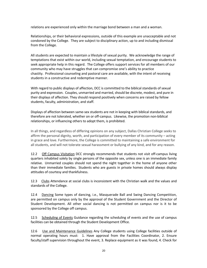relations are experienced only within the marriage bond between a man and a woman.

Relationships, or their behavioral expressions, outside of this example are unacceptable and not condoned by the College. They are subject to disciplinary action, up to and including dismissal from the College.

All students are expected to maintain a lifestyle of sexual purity. We acknowledge the range of temptations that exist within our world, including sexual temptation, and encourage students to seek appropriate help in this regard. The College offers support services for all members of our community who may have struggles that can compromise one's ability to practice chastity. Professional counseling and pastoral care are available, with the intent of receiving students in a constructive and redemptive manner.

With regard to public displays of affection, DCC is committed to the biblical standards of sexual purity and expression. Couples, unmarried and married, should be discrete, modest, and pure in their displays of affection. They should respond positively when concerns are raised by fellow students, faculty, administration, and staff.

Displays of affection between same-sex students are not in keeping with biblical standards, and therefore are not tolerated, whether on or off-campus. Likewise, the promotion non-biblical relationships, or influencing others to adopt them, is prohibited.

In all things, and regardless of differing opinions on any subject, Dallas Christian College seeks to affirm the personal dignity, worth, and participation of every member of its community – acting in grace and love. Furthermore, the College is committed to maintaining a safe environment for all students, and will not tolerate sexual harassment or bullying of any kind, and for any reason.

12.2 Off Campus Visitation DCC strongly recommends that students not visit off-campus living quarters inhabited solely by single persons of the opposite sex, unless one is an immediate family relative. Unmarried couples should not spend the night together in the home of anyone other than their immediate families. Students who are guests in private homes should always display attitudes of courtesy and thankfulness.

12.3 Clubs Attendance at social clubs is inconsistent with the Christian walk and the values and standards of the College.

12.4 Dancing Some types of dancing, i.e., Masquerade Ball and Swing Dancing Competition, are permitted on campus only by the approval of the Student Government and the Director of Student Development. All other social dancing is not permitted on campus nor is it to be sponsored by the College off campus.

12.5 Scheduling of Events Guidance regarding the scheduling of events and the use of campus facilities can be obtained through the Student Development Office.

12.6 Use and Maintenance Guidelines Any College students using College facilities outside of normal operating hours must: 1. Have approval from the Facilities Coordinator, 2. Ensure faculty/staff supervision throughout the event, 3. Replace equipment as it was found, 4. Check for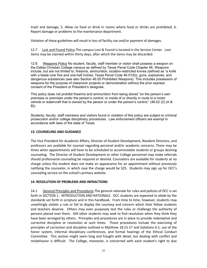trash and damage, 5. Allow no food or drink in rooms where food or drinks are prohibited, 6. Report damage or problems to the maintenance department.

Violation of these guidelines will result in loss of facility use and/or payment of damages.

12.7 Lost and Found Policy The campus Lost & Found is located in the Service Center. Lost items may be claimed within thirty days, after which the items may be discarded.

12.8 Weapons Policy No student, faculty, staff member or visitor shall possess a weapon on the Dallas Christian College campus as defined by Texas Penal Code Chapter 46. Weapons include, but are not limited to, firearms, ammunition, location-restricted knives (defined as "a knife with a blade over five and one-half inches; Texas Penal Code 46.01(6)), guns, explosives, and dangerous substances (see also Section 46.05 Prohibited Weapons). This includes possession of weapons for the purpose of classroom projects or demonstration without the prior express consent of the President or President's designee.

This policy does not prohibit firearms and ammunition from being stored "on the person's own premises or premises under the person's control; or inside of or directly in route to a motor vehicle or watercraft that is owned by the person or under the person's control." (46.02 (2) (A & B))

Students, faculty, staff members and visitors found in violation of this policy are subject to criminal prosecution and/or college disciplinary procedures. Law enforcement officers are exempt in accordance with laws of the state of Texas.

#### **13. COUNSELING AND GUIDANCE**

The Vice President for Academic Affairs, Director of Student Development, Resident Directors, and professors are available for counsel regarding personal and/or academic concerns. There may be times when appointments will have to be scheduled to accommodate students or groups desiring counseling. The Director of Student Development or other College personnel may make referrals should professional counseling be required or desired. Counselors are available for students at no charge unless the student does not make an appearance for an appointment without previously notifying the counselor, in which case the charge would be \$25. Students may sign up for DCC's counseling service on the school's primary website.

#### **14. RESOLUTION OF PROBLEMS AND INFRACTIONS**

14.1 General Principles and Procedures The general rationale for rules and policies of DCC is set forth in SECTION 1 - INTRODUCTION AND RATIONALE. DCC students are expected to abide by the standards set forth in scripture and in this handbook. From time to time, however, students may unwittingly violate a rule or fail to display the courtesy and concern which their fellow students and teachers deserve. Others may even purposely test the rules or challenge the authority of persons placed over them. Still other students may seek to find resolution when they think they have been wronged by others. Principles and procedures are in place to provide redemptive and corrective discipline or resolution at such times. Those procedures include the exercising of principles of correction and discipline outlined in Matthew 18:15-17 and Galatians 6:1, use of the honor system, informal disciplinary conferences, and formal hearings of the Ethical Conduct Committee. This section might seem long and fraught with detail, but dealing with conflict and misbehavior is difficult. The College, moreover, is concerned with each student's right to due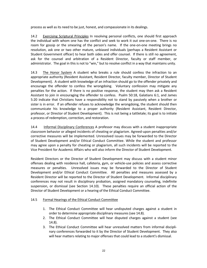process as well as its need to be just, honest, and compassionate in its dealings.

14.2 Exercising Scriptural Principles In resolving personal conflicts, one should first approach the individual with whom one has the conflict and seek to work it out one-on-one. There is no room for gossip or the smearing of the person's name. If the one-on-one meeting brings no resolution, ask one or two other mature, unbiased individuals (perhaps a Resident Assistant or Student Government officer) to hear both sides and offer counsel. If there is still no agreement, ask for the counsel and arbitration of a Resident Director, faculty or staff member, or administrator. The goal in this is not to "win," but to resolve conflict in a way that maintains unity.

14.3 The Honor System A student who breaks a rule should confess the infraction to an appropriate authority (Resident Assistant, Resident Director, faculty member, Director of Student Development). A student with knowledge of an infraction should go to the offender privately and encourage the offender to confess the wrongdoing. Voluntary confession may mitigate any penalties for the action. If there is no positive response, the student may then ask a Resident Assistant to join in encouraging the offender to confess. Psalm 50:18, Galatians 6:1, and James 5:20 indicate that Christians have a responsibility not to stand by passively when a brother or sister is in error. If an offender refuses to acknowledge the wrongdoing, the student should then communicate his knowledge to a proper authority (Resident Assistant, Resident Director, professor, or Director of Student Development). This is not being a tattletale; its goal is to initiate a process of redemption, correction, and restoration.

14.4 Informal Disciplinary Conferences A professor may discuss with a student inappropriate classroom behavior or alleged incidents of cheating or plagiarism. Agreed-upon penalties and/or corrective measures will be implemented. Unresolved issues may be forwarded to the Director of Student Development and/or Ethical Conduct Committee. While the student and professor may agree upon a penalty for cheating or plagiarism, all such incidents will be reported to the Vice President for Academic Affairs who will also inform the Director of Student Development.

Resident Directors or the Director of Student Development may discuss with a student minor offenses dealing with residence hall, cafeteria, gym, or vehicle-use policies and assess corrective measures or penalties. Unresolved issues may be forwarded to the Director of Student Development and/or Ethical Conduct Committee. All penalties and measures assessed by a Resident Director will be reported to the Director of Student Development. Informal disciplinary conferences may not result in disciplinary probation, assigned mandatory counseling, indefinite suspension, or dismissal (see Section 14.10). These penalties require an official action of the Director of Student Development or a hearing of the Ethical Conduct Committee.

# 14.5 Formal Hearings of the Ethical Conduct Committee

- 1. The Ethical Conduct Committee will hear undisputed charges against a student in order to determine appropriate disciplinary measures (see 14.8).
- 2. The Ethical Conduct Committee will hear disputed charges against a student (see 14.8).
- 3. The Ethical Conduct Committee will hear unresolved matters from informal disciplinary conferences forwarded to it by the Director of Student Development. They also will hear matters relating to major offenses that could lead to a student's dismissal.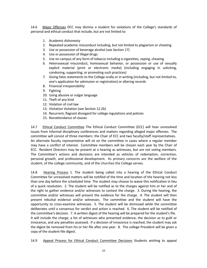14.6 Major Offenses DCC may dismiss a student for violations of the College's standards of personal and ethical conduct that include, but are not limited to:

- 1. Academic dishonesty
- 2. Repeated academic misconduct including, but not limited to plagiarism or cheating
- 3. Use or possession of beverage alcohol (see Section 17)
- 4. Use or possession of illegal drugs
- 5. Use on campus of any form of tobacco including e-cigarettes, vaping, chewing
- 6. Heterosexual misconduct, homosexual behavior, or possession or use of sexually explicit material (print or electronic media) (including engaging in soliciting, condoning, supporting, or promoting such practices)
- 7. Giving false statements to the College orally or in writing (including, but not limited to, one's application for admission or registration) or altering records
- 8. Financial irresponsibility
- 9. Fighting
- 10. Using abusive or vulgar language
- 11. Theft of any kind
- 12. Violation of civil law
- 13. Visitation Violation (see Section 12.2b)
- 14. Recurrent, flagrant disregard for college regulations and policies
- 15. Nonattendance of classes

14.7 Ethical Conduct Committee The Ethical Conduct Committee (ECC) will hear unresolved issues from informal disciplinary conferences and matters regarding alleged major offenses. The committee will consist of three members: the Chair of ECC and two faculty/staff representatives. An alternate faculty representative will sit on the committee in cases where a regular member may have a conflict of interest. Committee members will be chosen each year by the Chair of ECC. Resident Directors may be present at a hearing as witnesses, but are not voting members. The Committee's actions and decisions are intended as vehicles of redemption, correction, personal growth, and professional development. Its primary concerns are the welfare of the student, of the college community, and of the churches the College serves.

14.8 Hearing Process 1. The student being called into a hearing of the Ethical Conduct Committee for unresolved matters will be notified of the time and location of the hearing not less than one day before the scheduled time. The student may choose to waive this notification in lieu of a quick resolution. 2. The student will be notified as to the charges against him or her and of the right to gather evidence and/or witnesses to contest the charge. 3. During the hearing, the committee and/or witnesses will present the evidence for the charge. 4. The student will then present rebuttal evidence and/or witnesses. The committee and the student will have the opportunity to cross-examine witnesses. 5. The student will be dismissed while the committee deliberates until a consensus for verdict and action is reached. 6. The student will be notified of the committee's decision. 7. A written digest of the hearing will be prepared for the student's file. It will include the charge, a list of witnesses who presented evidence, the decision as to guilt or innocence, and any penalties assessed. If a decision of innocence is reached, the student may ask the digest be removed from his or her file after one year. 8. The college President will be given a copy of the student-file digest.

14.9 Appeal Process for Ethical Conduct Committee Decisions Students wishing to appeal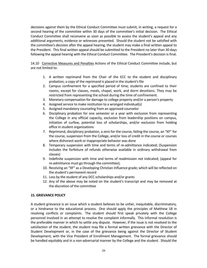decisions against them by the Ethical Conduct Committee must submit, in writing, a request for a second hearing of the committee within 30 days of the committee's initial decision. The Ethical Conduct Committee shall reconvene as soon as possible to assess the student's appeal and any additional arguments, evidence or witnesses presented. Should the student not be satisfied with the committee's decision after the appeal hearing, the student may make a final written appeal to the President. This final written appeal should be submitted to the President no later than 30 days following the appeal hearing with the Ethical Conduct Committee. The President's decision is final.

14.10 Corrective Measures and Penalties Actions of the Ethical Conduct Committee include, but are not limited to:

- 1. A written reprimand from the Chair of the ECC to the student and disciplinary probation; a copy of the reprimand is placed in the student's file
- 2. Campus confinement for a specified period of time; students are confined to their rooms, except for classes, meals, chapel, work, and dorm devotions. They may be restricted from representing the school during the time of confinement.
- 3. Monetary compensation for damage to college property and/or a person's property
- 4. Assigned service to make restitution to a wronged individual(s)
- 5. Assigned mandatory counseling from an approved counselor
- 6. Disciplinary probation for one semester or a year with exclusion from representing the College in any official capacity, exclusion from leadership positions on campus, initiation of curfew, potential loss of scholarships, and/or exclusion from holding office in student organizations
- 7. Reprimand, disciplinary probation, a zero for the course, failing the course, an "XF" for the course, suspension from the College, and/or loss of credit in the course or courses where dishonest work or inappropriate behavior was done
- 8. Temporary suspension with time and terms of re-admittance indicated; (Suspension includes the forfeiture of refunds otherwise available in ordinary withdrawal from classes)
- 9. Indefinite suspension with time and terms of readmission not indicated; (appeal for re-admittance must go through the committee);
- 10. Receiving an "XF" as a Developing Christian Influence grade; which will be reflected on the student's permanent record
- 11. Loss by the student of any DCC scholarships and/or grants
- 12. Any of the above may be noted on the student's transcript and may be removed at the discretion of the committee

#### **15. GRIEVANCE POLICY**

A student grievance is an issue which a student believes to be unfair, inequitable, discriminatory, or a hindrance to the educational process. One should apply the principles of Matthew 18 in resolving conflicts or complaints. The student should first speak privately with the College personnel involved in an attempt to resolve the complaint informally. This informal resolution is the preferable manner in which to settle any dispute. However, if the issue is not resolved to the satisfaction of the student, the student may file a formal written grievance with the Director of Student Development or, in the case of the grievance being against the Director of Student Development, with the Vice President of Enrollment Management. The formal grievance should be handled equitably and in a non-adversarial manner by the College and the student. Should the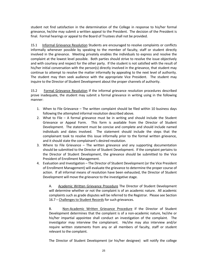student not find satisfaction in the determination of the College in response to his/her formal grievance, he/she may submit a written appeal to the President. The decision of the President is final. Formal hearings or appeal to the Board of Trustees shall not be provided.

15.1 Informal Grievance Resolution Students are encouraged to resolve complaints or conflicts informally whenever possible by speaking to the member of faculty, staff or student directly involved in the grievance. Meeting privately enables the individuals to express and resolve the complaint at the lowest level possible. Both parties should strive to resolve the issue objectively and with courtesy and respect for the other party. If the student is not satisfied with the result of his/her initial conversation with the person(s) directly involved in the grievance, that student may continue to attempt to resolve the matter informally by appealing to the next level of authority. The student may then seek audience with the appropriate Vice President. The student may inquire to the Director of Student Development about the proper channels of authority.

15.2 Formal Grievance Resolution If the informal grievance resolution procedures described prove inadequate, the student may submit a formal grievance in writing using in the following manner:

- 1. When to File Grievance The written complaint should be filed within 10 business days following the attempted informal resolution described above.
- 2. What to File A formal grievance must be in writing and should include the Student Grievance or Appeal Form. This form is available from the Director of Student Development. The statement must be concise and complete and should include named individuals and dates involved. The statement should include the steps that the complainant took to resolve this issue informally prior to the formal written grievance, and it should state the complainant's desired resolution.
- 3. Where to File Grievance The written grievance and any supporting documentation should be submitted to the Director of Student Development. If the complaint pertains to the Director of Student Development, the grievance should be submitted to the Vice President of Enrollment Management.
- 4. Evaluation and Investigation The Director of Student Development (or the Vice President of Enrollment Management) will evaluate the grievance to determine the proper course of action. If all informal means of resolution have been exhausted, the Director of Student Development will move the grievance to the investigative stage.

A. Academic Written Grievance Procedure The Director of Student Development will determine whether or not the complaint is of an academic nature. All academic complaints such as grade disputes will be referred to the Registrar. Please see Section 16.7 – Challenges to Student Records for such grievances.

B. Non-Academic Written Grievance Procedure If the Director of Student Development determines that the complaint is of a non-academic nature, he/she or his/her impartial appointee shall conduct an investigation of the complaint. The investigator may interview the complainant. He/she may also interview and/or require written statements from any or all members of faculty, staff or student relevant to the complaint.

The Director of Student Development (or his/her designee) will notify the college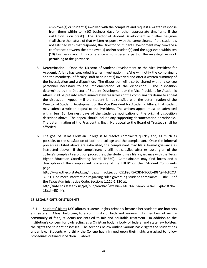employee(s) or student(s) involved with the complaint and request a written response from them within ten (10) business days (or other appropriate timeframe if the institution is on break). The Director of Student Development or his/her designee shall share the nature of that written response with the complainant. If the student is not satisfied with that response, the Director of Student Development may convene a conference between the employee(s) and/or student(s) and the aggrieved within ten (10) business days. This conference is considered a part of the investigative work pertaining to the grievance.

- 5. Determination Once the Director of Student Development or the Vice President for Academic Affairs has concluded his/her investigation, he/she will notify the complainant and the member(s) of faculty, staff or student(s) involved and offer a written summary of the investigation and a disposition. The disposition will also be shared with any college personnel necessary to the implementation of the disposition. The disposition determined by the Director of Student Development or the Vice President for Academic Affairs shall be put into effect immediately regardless of the complainants desire to appeal the disposition. Appeal – If the student is not satisfied with the determination of the Director of Student Development or the Vice President for Academic Affairs, that student may submit a written appeal to the President. The written appeal must be submitted within ten (10) business days of the student's notification of the original disposition described above. The appeal should include any supporting documentation or rationale. The determination of the President is final. No appeal to the Board of Trustees shall be afforded.
- 6. The goal of Dallas Christian College is to resolve complaints quickly and, as much as possible, to the satisfaction of both the college and the complainant. Once the informal procedures listed above are exhausted, the complainant may file a formal grievance as instructed above. If the complainant is still not satisfied after exhausting all of the college's complaint resolution procedures, the student may file a grievance with the Texas Higher Education Coordinating Board (THEBC). Complainants may find forms and a description of the complainant procedure of the THEBC on their Student Complaints page and a state of the state of the state of the state of the state of the state of the state of the state of

http://www.thecb.state.tx.us/index.cfm?objectid=051F93F5-03D4-9CCE-40FA9F46F2CD 3C9D. Find more information regarding rules governing student complaints – Title 19 of the Texas Administrative Code, Sections 1.110-1.120 at:

http://info.sos.state.tx.us/pls/pub/readtac\$ext.ViewTAC?tac\_view=5&ti=19&pt=1&ch= 1&sch=E&rl=Y.

#### **16. LEGAL RIGHTS OF STUDENTS**

16.1 Students' Rights DCC affords students' rights primarily because her students are brothers and sisters in Christ belonging to a community of faith and learning. As members of such a community of faith, students are entitled to fair and equitable treatment. In addition to the institution's concern for truly acting as a Christian body, a body of federal and state law bolsters the rights the student possesses. The sections below outline various basic rights the student has under law. Students who think the College has infringed upon their rights are asked to follow procedures outlined in Section 15 above.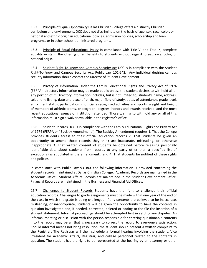16.2 Principle of Equal Opportunity Dallas Christian College offers a distinctly Christian curriculum and environment. DCC does not discriminate on the basis of age, sex, race, color, or national and ethnic origin in educational policies, admission policies, scholarship and loan programs, or in other school-administered programs.

16.3 Principle of Equal Educational Policy In compliance with Title VI and Title IX, complete equality exists in the offering of all benefits to students without regard to sex, race, color, or national origin.

16.4 Student Right-To-Know and Campus Security Act DCC is in compliance with the Student Right-To-Know and Campus Security Act, Public Law 101-542. Any individual desiring campus security information should contact the Director of Student Development.

16.5 Privacy of Information Under the Family Educational Rights and Privacy Act of 1974 (FERPA), directory information may be made public unless the student desires to withhold all or any portion of it. Directory information includes, but is not limited to, student's name, address, telephone listing, date and place of birth, major field of study, dates of attendance, grade level, enrollment status, participation in officially recognized activities and sports, weight and height of members of athletic teams, photograph, degrees, honors and awards received, and the most recent educational agency or institution attended. Those wishing to withhold any or all of this information must sign a waiver available in the registrar's office.

16.6 Student Records DCC is in compliance with the Family Educational Rights and Privacy Act of 1974 (FERPA or "Buckley Amendment"). The Buckley Amendment requires 1. That the College provides students access to their official education records 2. That students be given an opportunity to amend those records they think are inaccurate, misleading, or otherwise inappropriate 3. That written consent of students be obtained before releasing personally identifiable data about students from records to any party other than a specified list of exceptions (as stipulated in the amendment), and 4. That students be notified of these rights and policies.

In compliance with Public Law 93-380, the following information is provided concerning the student records maintained at Dallas Christian College: Academic Records are maintained in the Academic Office. Student Affairs Records are maintained in the Student Development Office. Financial Records are maintained in the Business and Financial Aid Offices.

16.7 Challenges to Student Records Students have the right to challenge their official education records. Challenges to grade assignments must be made within one year of the end of the class in which the grade is being challenged. If any contents are believed to be inaccurate, misleading, or inappropriate, students will be given the opportunity to have the contents in question investigated and, if needed, corrected, deleted or adding to the file the insertion of a student statement. Informal proceedings should be attempted first in settling any disputes. An informal meeting or discussion with the person responsible for entering questionable contents into the record may be all that is necessary to correct the record to everyone's satisfaction. Should informal means not bring resolution, the student should present a written complaint to the Registrar. The Registrar will then schedule a formal hearing involving the student, Vice President for Academic Affairs, Registrar, and college personnel related to the contents in question. The student has the right to be represented at the hearing by an attorney or other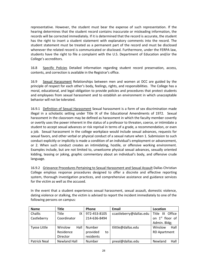representative. However, the student must bear the expense of such representation. If the hearing determines that the student record contains inaccurate or misleading information, the records will be corrected immediately. If it is determined that the record is accurate, the student has the right to insert a student statement with explanatory comments into the record. The student statement must be treated as a permanent part of the record and must be disclosed whenever the related record is communicated or disclosed. Furthermore, under the FERPA law, students have the right to file a complaint with the U.S. Department of Education and/or the College's accreditors.

16.8 Specific Policies Detailed information regarding student record preservation, access, contents, and correction is available in the Registrar's office.

16.9 Sexual Harassment Relationships between men and women at DCC are guided by the principle of respect for each other's body, feelings, rights, and responsibilities. The College has a moral, educational, and legal obligation to provide policies and procedures that protect students and employees from sexual harassment and to establish an environment in which unacceptable behavior will not be tolerated.

16.9.1 Definition of Sexual Harassment Sexual harassment is a form of sex discrimination made illegal in a scholastic setting under Title IX of the Educational Amendments of 1972. Sexual harassment in the classroom may be defined as harassment in which the faculty member covertly or overtly uses the power inherent in the status of a professor to threaten, coerce, or intimidate a student to accept sexual advances or risk reprisal in terms of a grade, a recommendation, or even a job. Sexual harassment in the college workplace would include sexual advances, requests for sexual favors, and other verbal or physical conduct of a sexual nature when 1. Submission to such conduct explicitly or implicitly is made a condition of an individual's employment or advancement, or 2. When such conduct creates an intimidating, hostile, or offensive working environment. Examples include, but are not limited to, unwelcome physical sexual advances, sexually oriented kidding, teasing or joking, graphic commentary about an individual's body, and offensive crude language.

16.9.2 Grievance Procedures Pertaining to Sexual Harassment and Sexual Assault Dallas Christian College employs response procedures designed to offer a discrete and effective reporting system, thorough investigation practices, and comprehensive assistance and guidance services for the victim as well as the accused.

In the event that a student experiences sexual harassment, sexual assault, domestic violence, dating violence or stalking, the victim is advised to report the incident immediately to one of the following persons on campus:

| <b>Name</b>         | <b>Title</b>        | Phone          | Email                   | Location                    |
|---------------------|---------------------|----------------|-------------------------|-----------------------------|
| Challis             | <b>Title</b><br>IX  | 972-453-8105   | ccastleberry@dallas.edu | Title<br>IX Office          |
| Castleberry         | Coordinator         | 214-636-8494   |                         | on 1 <sup>st</sup> floor of |
|                     |                     |                |                         | Admin. Bldg;                |
| <b>Tyese Little</b> | Hall<br>Winslow     | Number         | tlittle@dallas.edu      | Winslow<br>Hall             |
|                     | Residence           | provided<br>to |                         | <b>RD Apartment</b>         |
|                     | Director            | residents      |                         |                             |
| <b>Patrick Neal</b> | <b>Newland Hall</b> | Number         | pneal@dallas.edu        | Hall<br>Newland             |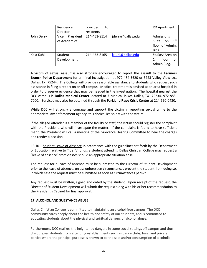|            | Residence                         | provided<br>to |                   | <b>RD Apartment</b>                                                      |
|------------|-----------------------------------|----------------|-------------------|--------------------------------------------------------------------------|
|            | Director                          | residents      |                   |                                                                          |
| John Derry | President<br>Vice<br>of Academics | 214-453-8114   | jderry@dallas.edu | Admissions<br>1 <sup>st</sup><br>Suite<br>on<br>floor of Admin.<br>Bldg. |
| Kala Kuhl  | Student<br>Development            | 214-453-8165   | kkuhl@dallas.edu  | StuDev Area on<br>1 <sup>st</sup><br>floor<br>οf<br>Admin Bldg.          |

A victim of sexual assault is also strongly encouraged to report the assault to the **Farmers Branch Police Department** for criminal investigation at 972-484-3620 or 3723 Valley View Ln., Dallas, TX 75244. The College will provide reasonable assistance to students who request such assistance in filing a report on or off campus. Medical treatment is advised at an area hospital in order to preserve evidence that may be needed in the investigation. The hospital nearest the DCC campus is **Dallas Medical Center** located at 7 Medical Pkwy, Dallas, TX 75234, 972-888- 7000. Services may also be obtained through the **Parkland Rape Crisis Center** at 214-590-0430.

While DCC will strongly encourage and support the victim in reporting sexual crime to the appropriate law enforcement agency, this choice lies solely with the victim.

If the alleged offender is a member of the faculty or staff, the victim should register the complaint with the President, who will investigate the matter. If the complaint is found to have sufficient merit, the President will call a meeting of the Grievance Hearing Committee to hear the charges and render a decision.

16.10 Student Leave of Absence In accordance with the guidelines set forth by the Department of Education relative to Title IV funds, a student attending Dallas Christian College may request a "leave of absence" from classes should an appropriate situation arise.

The request for a leave of absence must be submitted to the Director of Student Development prior to the leave of absence, unless unforeseen circumstances prevent the student from doing so, in which case the request must be submitted as soon as circumstances permit.

Any request must be written, signed and dated by the student. Upon receipt of the request, the Director of Student Development will submit the request along with his or her recommendation to the President's Cabinet for final approval.

#### **17. ALCOHOL AND SUBSTANCE ABUSE**

Dallas Christian College is committed to maintaining an alcohol-free campus. The DCC community cares deeply about the health and safety of our students, and is committed to educating students about the physical and spiritual dangers of alcohol abuse.

Furthermore, DCC realizes the heightened dangers in some social settings off campus and thus discourages students from attending establishments such as dance clubs, bars, and private parties where the principal purpose is known to be the sale and/or consumption of alcoholic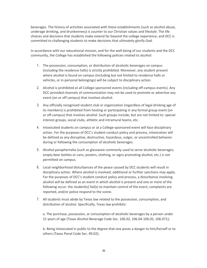beverages. The history of activities associated with these establishments (such as alcohol abuse, underage drinking, and drunkenness) is counter to our Christian values and lifestyle. The life choices and decisions that students make extend far beyond the college experience, and DCC is committed to challenging students to make decisions that ultimately glorify God.

In accordance with our educational mission, and for the well-being of our students and the DCC community, the College has established the following policies related to alcohol:

- 1. The possession, consumption, or distribution of alcoholic beverages on campus (including the residence halls) is strictly prohibited. Moreover, any student present where alcohol is found on campus (including but not limited to residence halls or vehicles, or in personal belongings) will be subject to disciplinary action.
- 2. Alcohol is prohibited at all College-sponsored events (including off-campus events). Any DCC-provided channels of communication may not be used to promote or advertise any event (on or off campus) that involves alcohol.
- 3. Any officially recognized student club or organization (regardless of legal drinking age of its members) is prohibited from hosting or participating in any formal group event (on or off-campus) that involves alcohol. Such groups include, but are not limited to: special interest groups, social clubs, athletic and intramural teams, etc.
- 4. Intoxicated students on campus or at a College-sponsored event will face disciplinary action. For the purposes of DCC's student conduct policy and process, intoxication will be defined as any disruptive, destructive, hazardous, vulgar, or uncontrolled behavior during or following the consumption of alcoholic beverages.
- 5. Alcohol paraphernalia (such as glassware commonly used to serve alcoholic beverages; empty beer bottles or cans; posters, clothing, or signs promoting alcohol, etc.) is not permitted on campus.
- 6. Local neighborhood disturbances of the peace caused by DCC students will result in disciplinary action. Where alcohol is involved, additional or further sanctions may apply. For the purposes of DCC's student conduct policy and process, a disturbance involving alcohol will be defined as an event in which alcohol is present and one or more of the following occur: the student(s) fail(s) to maintain control of the event, complaints are reported, and/or police respond to the scene.
- 7. All students must abide by Texas law related to the possession, consumption, and distribution of alcohol. Specifically, Texas law prohibits:

a. The purchase, possession, or consumption of alcoholic beverages by a person under 21 years of age (Texas Alcohol Beverage Code Sec. 106.02, 106.04-106.05, 106.071);

b. Being intoxicated in public to the degree that one poses a danger to him/herself or to others (Texas Penal Code Sec. 49.02);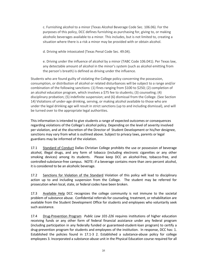c. Furnishing alcohol to a minor (Texas Alcohol Beverage Code Sec. 106.06). For the purposes of this policy, DCC defines furnishing as purchasing for, giving to, or making alcoholic beverages available to a minor. This includes, but is not limited to, creating a situation where there is a risk a minor may be provided with or obtain alcohol.

d. Driving while intoxicated (Texas Penal Code Sec. 49.04).

e. Driving under the influence of alcohol by a minor (TABC Code 106.041). Per Texas law, any detectable amount of alcohol in the minor's system (such as alcohol emitting from the person's breath) is defined as driving under the influence.

Students who are found guilty of violating the College policy concerning the possession, consumption, or distribution of alcohol or related disturbances will be subject to a range and/or combination of the following sanctions: (1) fines ranging from \$100 to \$250; (2) completion of an alcohol education program, which involves a \$75 fee to students; (3) counseling; (4) disciplinary probation; (5) indefinite suspension; and (6) dismissal from the College. (See Section 14) Violations of under-age drinking, serving, or making alcohol available to those who are under the legal drinking age will result in strict sanctions (up to and including dismissal), and will be turned over to the appropriate legal authorities.

This information is intended to give students a range of expected outcomes or consequences regarding violations of the College's alcohol policy. Depending on the level of severity involved per violation, and at the discretion of the Director of Student Development or his/her designee, sanctions may vary from what is outlined above. Subject to privacy laws, parents or legal guardians may be informed of the violation.

17.1 Standard of Conduct Dallas Christian College prohibits the use or possession of beverage alcohol, illegal drugs, and any form of tobacco (including electronic cigarettes or any other smoking devices) among its students. Please keep DCC an alcohol-free, tobacco-free, and controlled-substance-free campus. NOTE: if a beverage contains more than zero percent alcohol, it is considered to be an alcoholic beverage.

17.2 Sanctions for Violation of the Standard Violation of this policy will lead to disciplinary action up to and including suspension from the College. The student may be referred for prosecution when local, state, or federal codes have been broken.

17.3 Available Help DCC recognizes the college community is not immune to the societal problem of substance abuse. Confidential referrals for counseling, treatment, or rehabilitation are available from the Student Development Office for students and employees who voluntarily seek such assistance.

17.4 Drug-Prevention Program *Public Law 101-226* requires institutions of higher education receiving funds or any other form of federal financial assistance under any federal program (including participation in any federally funded or guaranteed-student-loan program) to certify a drug-prevention program for students and employees of the institution. In response, DCC has: 1. Established the policies found in 17.1-3 2. Established a substance-abuse policy for college employees 3. Incorporated a substance-abuse unit in the Physical Education course required for all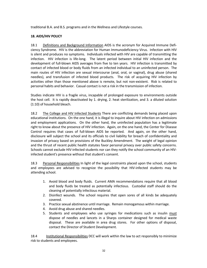traditional B.A. and B.S. programs and in the Wellness and Lifestyle courses.

# **18. AIDS/HIV POLICY**

18.1 Definitions and Background Information AIDS is the acronym for Acquired Immune Deficiency Syndrome. HIV is the abbreviation for Human Immunodeficiency Virus. Infection with HIV is silent and produces no symptoms. Individuals infected with HIV are capable of transmitting the infection. HIV infection is life-long. The latent period between initial HIV infection and the development of full-blown AIDS averages from five to ten years. HIV infection is transmitted by contact of infected blood or body fluids from an infected individual to an uninfected person. The main routes of HIV infection are sexual intercourse (anal, oral, or vaginal), drug abuse (shared needles), and transfusion of infected blood products. The risk of acquiring HIV infection by activities other than those mentioned above is remote, but not non-existent. Risk is related to personal habits and behavior. Casual contact is not a risk in the transmission of infection.

Studies indicate HIV is a fragile virus, incapable of prolonged exposure to environments outside the host cell. It is rapidly deactivated by 1. drying, 2. heat sterilization, and 3. a diluted solution (1:10) of household bleach.

18.2 The College and HIV Infected Students There are conflicting demands being placed upon educational institutions. On the one hand, it is illegal to inquire about HIV infection on admissions and employment applications. On the other hand, the uninfected population has a legitimate right to know about the presence of HIV infection. Again, on the one hand, the Center for Disease Control requires that cases of full-blown AIDS be reported. And again, on the other hand, disclosure will subject the school and its officials to civil liability for breach of confidentiality and invasion of privacy based on provisions of the Buckley Amendment. The weight of legal opinion and the thrust of recent public health statutes favor personal privacy over public safety concerns. Schools cannot exclude HIV-infected students nor can they notify the school community of an HIVinfected student's presence without that student's consent.

18.3 Personal Responsibilities In light of the legal constraints placed upon the school, students and employees are advised to recognize the possibility that HIV-infected students may be attending school.

- 1. Avoid blood and body fluids. Current AMA recommendations require that all blood and body fluids be treated as potentially infectious. Custodial staff should do the cleaning of potentially infectious material.
- 2. Disinfect wounds. The school requires that open sores of all kinds be adequately covered.
- 3. Practice sexual abstinence until marriage. Remain monogamous within marriage.
- 4. Avoid drug abuse and shared needles.
- 5. Students and employees who use syringes for medications such as insulin must dispose of needles and lancets in a Sharps container designed for medical waste disposal. These are available in area drug stores. For other options of disposal, contact the Director of Student Development.

18.4 Institutional Responsibilities DCC will work within the law to act responsibly to minimize risk to students and employees.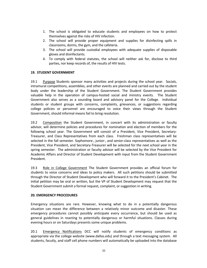- 1. The school is obligated to educate students and employees on how to protect themselves against the risks of HIV infection.
- 2. The school will provide proper equipment and supplies for disinfecting spills in classrooms, dorms, the gym, and the cafeteria.
- 3. The school will provide custodial employees with adequate supplies of disposable gloves and disinfectants.
- 4. To comply with federal statutes, the school will neither ask for, disclose to third parties, nor keep records of, the results of HIV tests.

#### **19. STUDENT GOVERNMENT**

19.1 Purpose Students sponsor many activities and projects during the school year. Socials, intramural competitions, assemblies, and other events are planned and carried out by the student body under the leadership of the Student Government. The Student Government provides valuable help in the operation of campus-hosted social and ministry events. The Student Government also serves as a sounding board and advisory panel for the College. Individual students or student groups with concerns, complaints, grievances, or suggestions regarding college policies or personnel are encouraged to voice their views through the Student Government, should informal means fail to bring resolution.

19.2 Composition the Student Government, in concert with its administration or faculty advisor, will determine policies and procedures for nomination and election of members for the following school year. The Government will consist of a President, Vice President, Secretary-Treasurer, and Class Representatives from each class. Freshman class representatives will be selected in the fall semester. Sophomore-, junior-, and senior-class representatives as well as the President, Vice President, and Secretary-Treasurer will be selected for the next school year in the spring semester. The administration or faculty advisor will be selected by the Vice President for Academic Affairs and Director of Student Development with input from the Student Government President.

19.3 Role in College Government The Student Government provides an official forum for students to voice concerns and ideas to policy makers. All such petitions should be submitted through the Director of Student Development who will forward it to the President's Cabinet. The initial petition may be oral or written, but the VP of Student Development may request that the Student Government submit a formal request, complaint, or suggestion in writing.

#### **20. EMERGENCY PROCEDURES**

Emergency situations are rare. However, knowing what to do in a potentially dangerous situation can mean the difference between a relatively minor outcome and disaster. These emergency procedures cannot possibly anticipate every occurrence, but should be used as general guidelines in reacting to potentially dangerous or harmful situations. Classes during evening hours or on Saturdays presents some unique problems.

20.1 Emergency Notifications DCC will notify students of emergency conditions as appropriate via the college website (www.dallas.edu) and through a text messaging system. All students, facutly, and staff cell phone numbers will automatically be uploaded into the database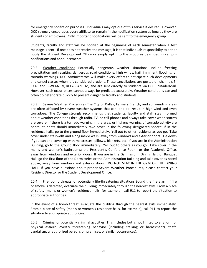for emergency notifiction purposes. Individuals may opt out of this service if desired. However, DCC strongly encourages every affiliate to remain in the notification system as long as they are students or employees. Only important notifications will be sent to the emergency group.

Students, faculty and staff will be notified at the beginning of each semester when a test message is sent. If one does not receive the message, it is that individuals responsibilty to either notify the Student Development Office or simply opt into the group as described in campus notifications and announcements.

20.2 Weather conditions Potentially dangerous weather situations include freezing precipitation and resulting dangerous road conditions, high winds, hail, imminent flooding, or tornado warnings. DCC administrators will make every effort to anticipate such developments and cancel classes when it is considered prudent. These cancellations are posted on channels 5- KXAS and 8-WFAA TV, KLTY--94.9 FM, and are sent directly to students via DCC CrusaderMail. However, such occurrences cannot always be predicted accurately. Weather conditions can and often do deteriorate quickly to present danger to faculty and students.

20.3 Severe Weather Procedures The City of Dallas, Farmers Branch, and surrounding areas are often affected by severe weather systems that can, and do, result in high wind and even tornadoes. The College strongly recommends that students, faculty and staff stay informed about weather conditions through radio, TV, or cell phones and always take cover when storms are severe. If there is a tornado warning in the area, or if sirens warning of tornado activity are heard, students should immediately take cover in the following designated spaces: If in the residence halls, go to the ground floor immediately. Yell out to other residents as you go. Take cover under stairwells and along inside walls, away from windows and exterior doors. Lie down if you can and cover up with mattresses, pillows, blankets, etc. If you are in the Administration Building, go to the ground floor immediately. Yell out to others as you go. Take cover in the men's and women's bathrooms; the President's Conference Room; or the Academic Office, away from windows and exterior doors. If you are in the Gymnasium, Dining Hall, or Banquet Hall, go the first floor of the Dormitories or the Administration Building and take cover as noted above, away from windows and exterior doors. DO NOT STAY IN THE GYM OR THE DINING HALL. If you have questions about proper Severe Weather Procedures, please contact your Resident Director or the Student Development Office.

20.4 Fire, bomb threats, or potentially life-threatening situations Sound the fire alarm if fire or smoke is detected, evacuate the building immediately through the nearest exits. From a place of safety (men's or women's residence halls, for example), call 911 to report the situation to appropriate authorities.

In the event of a bomb threat, evacuate the building through the nearest exits immediately. From a place of safety (men's or women's residence halls, for example), call 911 to report the situation to appropriate authorities.

20.5 Criminal or potentially criminal activities This includes but is not limited to any form of physical assault, overtly threatening behavior (including stalking or harassment), theft, vandalism, unauthorized persons on premises, or similar occurrences).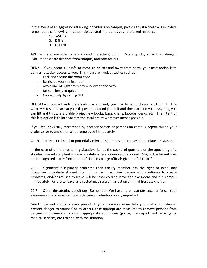In the event of an aggressor attacking individuals on campus, particularly if a firearm is invovled, remember the following three principles listed in order as your preferred response:

- 1. AVOID
- 2. DENY
- 3. DEFEND

AVOID- If you are able to safely avoid the attack, do so. Move quickly away from danger. Evacuate to a safe distance from campus, and contact 911.

DENY – If you deem it unsafe to move to an exit and away from harm, your next option is to deny an attacker access to you. This measure involves tactics such as:

- Lock and secure the room door
- Barricade yourself in a room
- Avoid line-of-sight from any window or doorway
- Remain low and quiet
- Contact help by calling 911

DEFEND – If contact with the assailant is eminent, you may have no choice but to fight. Use whatever resource are at your disposal to defend yourself and those around you. Anything you can lift and throw is a viable projectile – books, bags, chairs, laptops, desks, etc. The intent of this last option is to incapacitate the assailant by whatever menas possible.

If you feel physically threatened by another person or persons on campus, report this to your professor or to any other school employee immediately.

Call 911 to report criminal or potentially criminal situations and request immediate assistance.

In the case of a life-threatening situation, i.e. at the sound of gunshots or the appearing of a shooter, immediately find a place of safety where a door can be locked. Stay in the locked area until recognized law enforcement officials or College officials give the "all clear."

20.6 Significant disciplinary problems Each faculty member has the right to expel any disruptive, disorderly student from his or her class. Any person who continues to create problems, and/or refuses to leave will be instructed to leave the classroom and the campus immediately. Failure to leave as directed may result in arrest on criminal trespass charges.

20.7 Other threatening conditions Remember: We have no on-campus security force. Your awareness of and reaction to any dangerous situation is very important.

Good judgment should always prevail. If your common sense tells you that circumstances present danger to yourself or to others, take appropriate measures to remove persons from dangerous proximity or contact appropriate authorities (police, fire department, emergency medical services, etc.) to deal with the situation.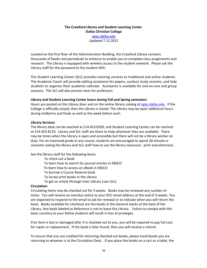# **The Crawford Library and Student Learning Center Dallas Christian College** opac.dallas.edu Updated 7.12.2021

Located on the first floor of the Administration Building, the Crawford Library contains thousands of books and periodicals to enhance to enable you to complete class assignments and research. The Library is equipped with wireless access to the student network. Please ask the Library staff for the password to the student WiFi.

The Student Learning Center (SLC) provides tutoring services to traditional and online students. The Academic Coach will provide editing assistance for papers, conduct study sessions, and help students to organize their academic calendar. Assistance is available for one-on-one and group sessions. The SLC will also proctor tests for professors.

#### **Library and Student Learning Center hours during Fall and Spring semesters**

Hours are posted on the Library door and on the online library catalog at opac.dallas.edu. If the College is officially closed, then the Library is closed. The Library may be open additional hours during midterms and finals as well as the week before each.

#### **Library Services**

The library desk can be reached at 214.453.8109, and Student Learning Center can be reached at 214.453.8119. Library and SLC staff are there to help whenever they are available. There may be times when the Library is open and accessible but there will not be a library worker on duty. For an improved grade in any course, students are encouraged to spend *30 minutes a semester* asking the library and SLC staff how to use the library resources: print and electronic.

See the library staff for the following items:

 To check out a book To learn how to search for journal articles in EBSCO To learn how to access an eBook in EBSCO To borrow a Course Reserve book To locate print books in the Library To get an article through Inter-Library Loan (ILL)

#### **Circulation**

Circulating items may be checked out for 3 weeks. Books may be renewed any number of times. You will receive an overdue notice to your DCC email address at the end of 3 weeks. You are expected to respond to the email to ask for renewal or to indicate when you will return the book. Books available for checkout are the books in the General stacks at the back of the Library. Any book labeled as Reference is not to leave the Library. Failure to comply with this basic courtesy to your fellow students will result in loss of privileges.

If an item is lost or damaged after it is checked out to you, you will be required to pay full cost for repair or replacement. If the book is later found, then you will receive a refund.

To ensure that you are credited for returning checked out books, please hand books you are returning to whoever is at the Circulation Desk. If you place the books on a cart or a table, the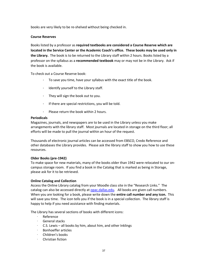books are very likely to be re-shelved without being checked in.

### **Course Reserves**

Books listed by a professor as **required textbooks are considered a Course Reserve which are located in the Service Center or the Academic Coach's office. These books may be used only in the Library.** The book is to be returned to the Library staff within 2 hours. Books listed by a professor on the syllabus as a **recommended textbook** may or may not be in the Library. Ask if the book is available.

To check out a Course Reserve book:

- To save you time, have your syllabus with the exact title of the book.
- · Identify yourself to the Library staff.
- · They will sign the book out to you.
- · If there are special restrictions, you will be told.
- · Please return the book within 2 hours.

#### **Periodicals**

Magazines, journals, and newspapers are to be used in the Library unless you make arrangements with the library staff. Most journals are located in storage on the third floor; all efforts will be made to pull the journal within an hour of the request.

Thousands of electronic journal articles can be accessed from EBSCO, Credo Reference and other databases the Library provides. Please ask the library staff to show you how to use these resources.

#### **Older Books (pre-1942)**

To make space for new materials, many of the books older than 1942 were relocated to our oncampus storage room. If you find a book in the Catalog that is marked as being in Storage, please ask for it to be retrieved.

#### **Online Catalog and Collection**

Access the Online Library catalog from your Moodle class site in the "Research Links." The catalog can also be accessed directly at opac.dallas.edu. All books are given call numbers. When you are looking for a book, please write down the **entire call number and any icon.** This will save you time. The icon tells you if the book is in a special collection. The library staff is happy to help if you need assistance with finding materials.

The Library has several sections of books with different icons:

- · Reference
- · General stacks
- · C.S. Lewis all books by him, about him, and other Inklings
- · Bonhoeffer articles
- · Children's books
- · Christian fiction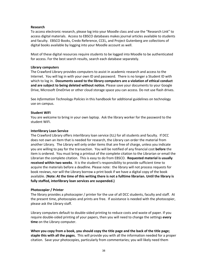#### **Research**

To access electronic research, please log into your Moodle class and use the "Research Link" to access digital materials. Access to EBSCO databases makes journal articles available to students and faculty. EBSCO Books, Credo Reference, CCEL, and Project Gutenberg are collections of digital books available by logging into your Moodle account as well.

Most of these digital resources require students to be logged into Moodle to be authenticated for access. For the best search results, search each database separately.

#### **Library computers**

The Crawford Library provides computers to assist in academic research and access to the Internet. You will log in with your own ID and password. There is no longer a Student ID with which to log in. **Documents saved to the library computers are a violation of ethical conduct and are subject to being deleted without notice.** Please save your documents to your Google Drive, Microsoft OneDrive or other cloud storage space you can access. Do not use flash drives.

See *Information Technology Policies* in this handbook for additional guidelines on technology use on campus.

#### **Student WiFi**

You are welcome to bring in your own laptop. Ask the library worker for the password to the student WiFi.

#### **Interlibrary Loan Service**

The Crawford Library offers interlibrary loan service (ILL) for all students and faculty. If DCC does not own an item that is needed for research, the Library can order the material from another Library. The Library will only order items that are free of charge, unless you indicate you are willing to pay for the transaction. You will be notified of any financial cost **before** the item is ordered. You must bring a printout of the complete citation to the Librarian or email the Librarian the complete citation. This is easy to do from EBSCO. **Requested material is usually received within two weeks**. It is the student's responsibility to provide sufficient time to acquire the materials before a deadline. Please note: the library will not process requests for book reviews, nor will the Library borrow a print book if we have a digital copy of the book available. (**Note: At the time of this writing there is not a fulltime librarian. Until the library is fully staffed, interlibrary loan services are suspended.)**

#### **Photocopier / Printer**

The library provides a photocopier / printer for the use of all DCC students, faculty and staff. At the present time, photocopies and prints are free. If assistance is needed with the photocopier, please ask the Library staff.

Library computers default to double-sided printing to reduce costs and waste of paper. If you require double-sided printing of your papers, then you will need to change the settings **every time** on the Library computer.

**When you copy from a book, you should copy the title page and the back of the title page; staple this with all the pages.** This will provide you with all the information needed for a proper citation. Save your photocopies, particularly from commentaries; you will likely need them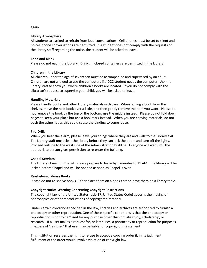again.

#### **Library Atmosphere**

All students are asked to refrain from loud conversations. Cell phones must be set to silent and no cell phone conversations are permitted. If a student does not comply with the requests of the library staff regarding the noise, the student will be asked to leave.

#### **Food and Drink**

Please do not eat in the Library. Drinks in **closed** containers are permitted in the Library.

#### **Children in the Library**

All children under the age of seventeen must be accompanied and supervised by an adult. Children are not allowed to use the computers if a DCC student needs the computer. Ask the library staff to show you where children's books are located. If you do not comply with the Librarian's request to supervise your child, you will be asked to leave.

#### **Handling Materials**

Please handle books and other Library materials with care. When pulling a book from the shelves, move the next book over a little, and then gently remove the item you want. Please do not remove the book by the top or the bottom; use the middle instead. Please do not fold down pages to keep your place but use a bookmark instead. When you are copying materials, do not push the spine flat as this could cause the binding to come loose.

#### **Fire Drills**

When you hear the alarm, please leave your things where they are and walk to the Library exit. The Library staff must clear the library before they can lock the doors and turn off the lights. Proceed outside to the west side of the Administration Building. Everyone will wait until the appropriate person gives permission to re-enter the building.

#### **Chapel Services**

The Library closes for Chapel. Please prepare to leave by 5 minutes to 11 AM. The library will be locked before Chapel and will be opened as soon as Chapel is over.

#### **Re-shelving Library Books**

Please do not re-shelve books. Either place them on a book cart or leave them on a library table.

#### **Copyright Notice Warning Concerning Copyright Restrictions**

The copyright law of the United States (title 17, United States Code) governs the making of photocopies or other reproductions of copyrighted material.

Under certain conditions specified in the law, libraries and archives are authorized to furnish a photocopy or other reproduction. One of these specific conditions is that the photocopy or reproduction is not to be "used for any purpose other than private study, scholarship, or research." If a user makes a request for, or later uses, a photocopy or reproduction for purposes in excess of "fair use," that user may be liable for copyright infringement.

This institution reserves the right to refuse to accept a copying order if, in its judgment, fulfillment of the order would involve violation of copyright law.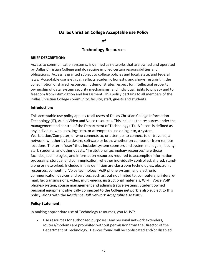# **Dallas Christian College Acceptable use Policy**

**of** 

# **Technology Resources**

### **BRIEF DESCRIPTION:**

Access to communication systems, is defined as networks that are owned and operated by Dallas Christian College and do require implied certain responsibilities and obligations. Access is granted subject to college policies and local, state, and federal laws. Acceptable use is ethical, reflects academic honesty, and shows restraint in the consumption of shared resources. It demonstrates respect for intellectual property, ownership of data, system security mechanisms, and individual rights to privacy and to freedom from intimidation and harassment. This policy pertains to all members of the Dallas Christian College community; faculty, staff, guests and students.

# **Introduction:**

This acceptable use policy applies to all users of Dallas Christian College Information Technology (IT), Audio Video and Voice resources. This includes the resources under the management and control of the Department of Technology (IT). A "user" is defined as any individual who uses, logs into, or attempts to use or log into, a system, Workstation/Computer; or who connects to, or attempts to connect to or traverse, a network, whether by hardware, software or both, whether on campus or from remote locations. The term "user" thus includes system sponsors and system managers, faculty, staff, students, and other quests. "Institutional technology resources" are those facilities, technologies, and information resources required to accomplish information processing, storage, and communication, whether individually controlled, shared, standalone or networked. Included in this definition are classroom technologies, electronic resources, computing, Voice technology (VolP phone system) and electronic communication devices and services, such as, but not limited to, computers, printers, email, fax transmissions, video, multi-media, instructional materials, Wi-Fi, Voice VolP phones/system, course management and administrative systems. Student owned personal equipment physically connected to the College network is also subject to this policy, along with the *Residence Hall Network Acceptable Use Policy.*

#### **Policy Statement:**

In making appropriate use of Technology resources, you MUST:

• Use resources for authorized purposes; Any personal network extenders, routers/modems are prohibited without permission from the Director of the Department of Technology. Devices found will be confiscated and/or disabled.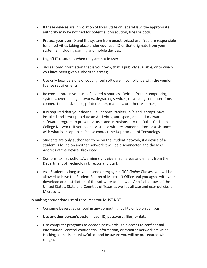- If these devices are in violation of local, State or Federal law, the appropriate authority may be notified for potential prosecution, fines or both.
- Protect your user ID and the system from unauthorized use. You are responsible for all activities taking place under your user ID or that originate from your system(s) including gaming and mobile devices;
- Log off IT resources when they are not in use;
- Access only information that is your own, that is publicly available, or to which you have been given authorized access;
- Use only legal versions of copyrighted software in compliance with the vendor license requirements;
- Be considerate in your use of shared resources. Refrain from monopolizing systems, overloading networks, degrading services, or wasting computer time, connect time, disk space, printer paper, manuals, or other resources;
- It is required that your device, Cell phones, tablets, PC's and laptops, have installed and kept up to date an Anti-virus, anti-spam, and anti-malware software program to prevent viruses and intrusions into the Dallas Christian College Network. If you need assistance with recommendations or assistance with what is acceptable. Please contact the Department of Technology
- Students are only authorized to be on the Student network, if a device of a student is found on another network it will be disconnected and the MAC Address of the Device Blacklisted.
- Conform to instructions/warning signs given in all areas and emails from the Department of Technology Director and Staff.
- As a Student as long as you attend or engage in *DCC Online* Classes, you will be allowed to have the Student Edition of Microsoft Office and you agree with your download and installation of the software to follow all Applicable Laws of the United States, State and Counties of Texas as well as all Use and user policies of Microsoft.

In making appropriate use of resources you MUST NOT:

- Consume beverages or food in any computing facility or lab on campus;
- **Use another person's system, user ID, password, files, or data**;
- Use computer programs to decode passwords, gain access to confidential information , control confidential information, or monitor network activities – Hacking as this is an unlawful act and be aware you will be prosecuted when caught.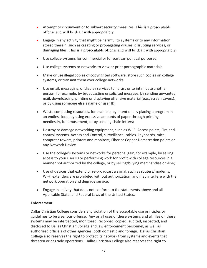- Attempt to circumvent or to subvert security measures. This is a prosecutable offense and will be dealt with appropriately.
- Engage in any activity that might be harmful to systems or to any information stored therein, such as creating or propagating viruses, disrupting services, or damaging files. This is a prosecutable offense and will be dealt with appropriately.
- Use college systems for commercial or for partisan political purposes;
- Use college systems or networks to view or print pornographic material;
- Make or use illegal copies of copyrighted software, store such copies on college systems, or transmit them over college networks.
- Use email, messaging, or display services to harass or to intimidate another person, for example, by broadcasting unsolicited message, by sending unwanted mail, downloading, printing or displaying offensive material (e.g., screen savers), or by using someone else's name or user ID;
- Waste computing resources, for example, by intentionally placing a program in an endless loop, by using excessive amounts of paper through printing needlessly, for amusement, or by sending chain letters;
- Destroy or damage networking equipment, such as Wi-Fi Access points, Fire and control systems, Access and Control, surveillance, cables, keyboards, mice, computer towers, printers and monitors; Fiber or Copper Demarcation points or any Network Device
- Use the college's systems or networks for personal gain, for example, by selling access to your user ID or performing work for profit with college resources in a manner not authorized by the college, or by selling/buying merchandise on-line;
- Use of devices that extend or re-broadcast a signal, such as routers/modems, Wi-Fi extenders are prohibited without authorization; and may interfere with the network operation and degrade service;
- Engage in activity that does not conform to the statements above and all Applicable State, and Federal Laws of the United States.

# **Enforcement:**

Dallas Christian College considers any violation of the acceptable use principles or guidelines to be a serious offense. Any or all uses of these systems and all files on these systems may be intercepted, monitored, recorded, copied, audited, inspected, and disclosed to Dallas Christian College and law enforcement personnel, as well as authorized officials of other agencies, both domestic and foreign. Dallas Christian College also reserves the right to protect its network from systems and events that threaten or degrade operations. Dallas Christian College also reserves the right to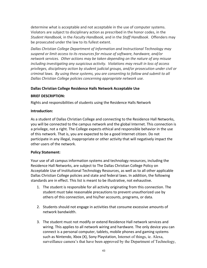determine what is acceptable and not acceptable in the use of computer systems. Violators are subject to disciplinary action as prescribed in the honor codes, in the *Student Handbook,* in the *Faculty Handbook,* and in the *Staff Handbook*. Offenders may be prosecuted under the law to its fullest extent.

*Dallas Christian College Department of Information and Instructional Technology may suspend or limit access to its resources for misuse of software, hardware, and/or network services. Other actions may be taken depending on the nature of any misuse including investigating any suspicious activity. Violations may result in loss of access privileges, disciplinary action by student judicial groups, and/or prosecution under civil or criminal laws. By using these systems, you are consenting to follow and submit to all Dallas Christian College policies concerning appropriate network use.*

# **Dallas Christian College Residence Halls Network Acceptable Use**

#### **BRIEF DESCRIPTION:**

Rights and responsibilities of students using the Residence Halls Network

# **Introduction:**

As a student of Dallas Christian College and connecting to the Residence Hall Networks, you will be connected to the campus network and the global Internet. This connection is a privilege, not a right. The College expects ethical and responsible behavior in the use of this network. That is, you are expected to be a good Internet citizen. Do not participate in any illegal, inappropriate or other activity that will negatively impact the other users of the network.

#### **Policy Statement:**

Your use of all campus information systems and technology resources, including the Residence Hall Networks, are subject to The Dallas Christian College Policy on Acceptable Use of Institutional Technology Resources, as well as to all other applicable Dallas Christian College policies and state and federal laws. In addition, the following standards are in effect. This list is meant to be illustrative, not exhaustive.

- 1. The student is responsible for all activity originating from this connection. The student must take reasonable precautions to prevent unauthorized use by others of this connection, and his/her accounts, programs, or data.
- 2. Students should not engage in activities that consume excessive amounts of network bandwidth.
- 3. The student must not modify or extend Residence Hall network services and wiring. This applies to all network wiring and hardware. The only device you can connect is a personal computer, tablets, mobile phones and gaming systems such as Nintendo, Xbox (X), Sony Playstation, Internet of things, ie. Alexa, surveillance camera's that have been approved by the Department of Technology,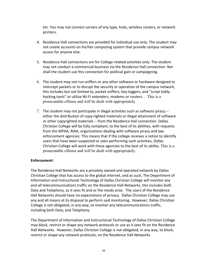etc. You may not connect servers of any type, hubs, wireless routers, or network printers.

- 4. Residence Hall connections are provided for individual use only. The student may not create accounts on his/her computing system that provide campus network access for anyone else.
- 5. Residence Hall connections are for College-related activities only. The student may not conduct a commercial business via the Residence Hall connection. Nor shall the student use this connection for political gain or campaigning.
- 6. The student may not run sniffers or any other software or hardware designed to intercept packets or to disrupt the security or operation of the campus network, this includes but not limited to, packet sniffers, key-loggers, and "script kiddy hacking tools" or utilize Wi-Fi extenders, modems or routers. . This is a prosecutable offense and will be dealt with appropriately.
- 7. The student may not participate in illegal activities such as software piracy either the distribution of copy-righted materials or illegal attainment of software or other copyrighted materials -- from the Residence Hall connection. Dallas Christian College will be fully compliant, to the best of its abilities, with requests from the MPAA, RIAA, organizations dealing with software piracy and law enforcement agencies. This means that if the college receives a notice to identify users that have been suspected or seen performing such activities, Dallas Christian College will work with these agencies to the best of its ability. This is a prosecutable offense and will be dealt with appropriately.

# **Enforcement:**

The Residence Hall Networks are a privately owned and operated network by Dallas Christian College that has access to the global Internet, and as such, The Department of Information and Instructional Technology of Dallas Christian College will monitor any and all telecommunications traffic on the Residence Hall Networks, this includes both Data and Telephony, as it sees fit and or the needs arise. The users of the Residence Hall Networks should have no expectations of privacy. Dallas Christian College may use any and all means at its disposal to perform said monitoring. However; Dallas Christian College is not obligated, in any way, to monitor any telecommunications traffic, including both Data, and Telephony.

The Department of Information and Instructional Technology of Dallas Christian College may block, restrict or shape any network protocols or use as it sees fit on the Residence Hall Networks. However, Dallas Christian College is not obligated, in any way, to block, restrict or shape any network protocols, on the Residence Hall Networks.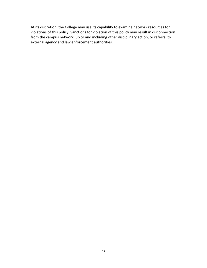At its discretion, the College may use its capability to examine network resources for violations of this policy. Sanctions for violation of this policy may result in disconnection from the campus network, up to and including other disciplinary action, or referral to external agency and law enforcement authorities.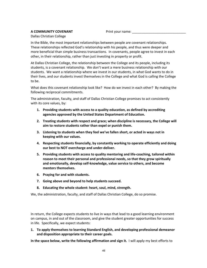#### **A COMMUNITY COVENANT** Print your name:

Dallas Christian College

In the Bible, the most important relationships between people are covenant relationships. These relationships reflected God's relationship with his people, and thus were deeper and more beneficial than simple business transactions. In covenants, people agree to invest in each other, in their relationship, rather than just investing in property or profit.

At Dallas Christian College, the relationship between the College and its people, including its students, is a covenant relationship. We don't want a mere business relationship with our students. We want a relationship where we invest in our students, in what God wants to do in their lives, and our students invest themselves in the College and what God is calling the College to be.

What does this covenant relationship look like? How do we invest in each other? By making the following reciprocal commitments.

The administration, faculty, and staff of Dallas Christian College promises to act consistently with its core values, by:

- **1. Providing students with access to a quality education, as defined by accrediting agencies approved by the United States Department of Education.**
- **2. Treating students with respect and grace; when discipline is necessary, the College will aim to restore students rather than expel or punish them.**
- **3. Listening to students when they feel we've fallen short, or acted in ways not in keeping with our values.**
- **4. Respecting students financially, by constantly working to operate efficiently and doing our best to NOT overcharge and under-deliver.**
- **5. Providing students with access to quality mentoring and life-coaching, tailored within reason to meet their personal and professional needs, so that they grow spiritually and emotionally, develop self-knowledge, value service to others, and become mentors themselves.**
- **6. Praying for and with students.**
- **7. Going above and beyond to help students succeed.**
- **8. Educating the whole student: heart, soul, mind, strength.**

We, the administration, faculty, and staff of Dallas Christian College, do so promise.

In return, the College expects students to live in ways that lead to a good learning environment on campus, in and out of the classroom, and give the student greater opportunities for success in life. Specifically, we expect students:

**1. To apply themselves to learning Standard English, and developing professional demeanor and disposition appropriate to their career goals.**

**In the space below, write the following affirmation and sign it.** I will apply my best efforts to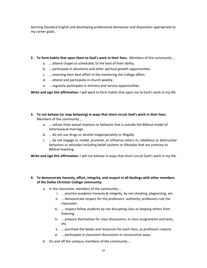learning Standard English and developing professional demeanor and disposition appropriate to my career goals.

- **2. To form habits that open them to God's work in their lives.** Members of the community …
	- a. … attend chapel as scheduled, to the best of their ability.
	- b. … participate in devotions and other spiritual growth opportunities.
	- c. … investing their best effort in the mentoring the College offers.
	- d. … attend and participate in church weekly.
	- e. … regularly participate in ministry and service opportunities.

**Write and sign this affirmation:** I will work to form habits that open me to God's work in my life.

- **3. To not behave (or stop behaving) in ways that short-circuit God's work in their lives.** Members of the community …
	- a. … refrain from sexual relations or behavior that is outside the Biblical model of heterosexual marriage.
	- b. … do not use drugs or alcohol inappropriately or illegally.
	- c. … do not engage in, model, promote, or influence others in, rebellious or destructive behaviors or attitudes including belief systems or lifestyles that are contrary to Biblical teaching.

**Write and sign this affirmation:** I will not behave in ways that short-circuit God's work in my life.

# **4. To demonstrate honesty, effort, integrity, and respect in all dealings with other members of the Dallas Christian College community.**

- a. In the classroom, members of the community …
	- i. … practice academic honesty & integrity, by not cheating, plagiarizing, etc.
	- ii. … demonstrate respect for the professors' authority; professors rule the classroom.
	- iii. … respect fellow students by not disrupting class or keeping others from listening.
	- iv. … prepare themselves for class discussions, in-class assignments and tests, etc.
	- v. … purchase the books and resources for each class, as professors require.
	- vi. … participate in classroom discussions in constructive ways.
- b. On and off the campus, members of the community …